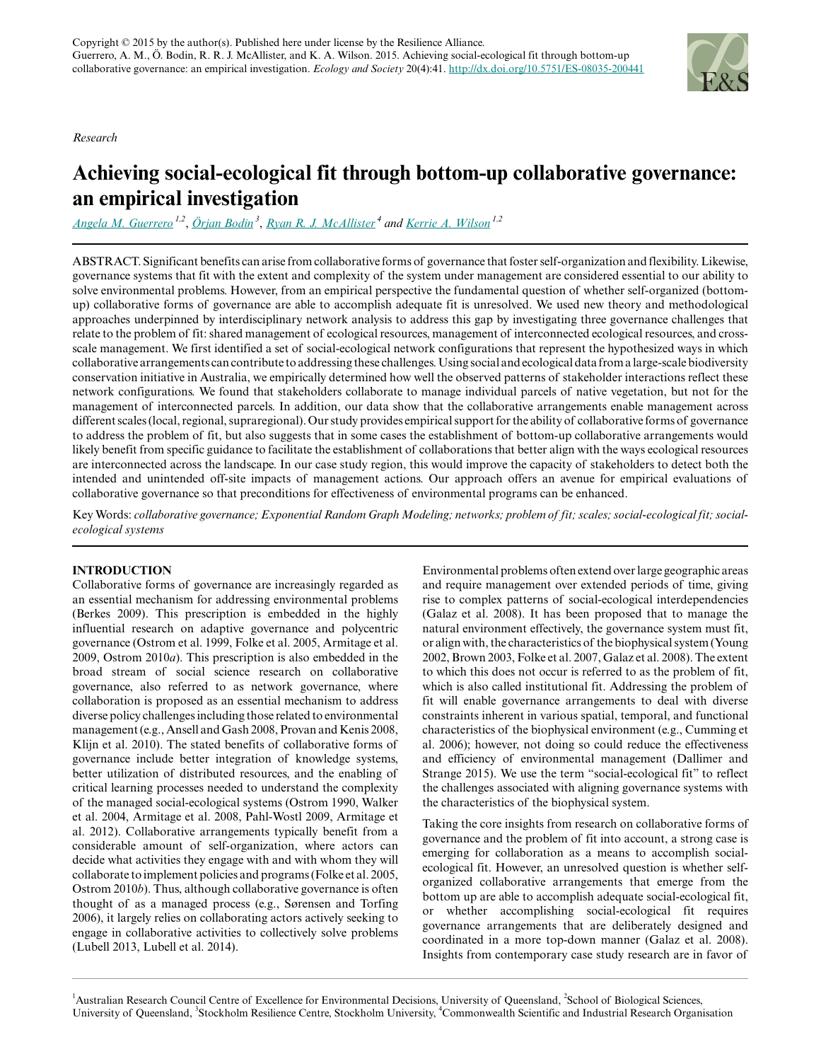*Research*



# **Achieving social-ecological fit through bottom-up collaborative governance: an empirical investigation**

*[Angela M. Guerrero](mailto:a.guerrero@uq.edu.au) 1,2* , *[Örjan Bodin](mailto:orjan.bodin@stockholmresilience.su.se)<sup>3</sup>* , *[Ryan R. J. McAllister](mailto:ryan.mcallister@csiro.au)<sup>4</sup> and [Kerrie A. Wilson](mailto:k.wilson2@uq.edu.au) 1,2*

ABSTRACT. Significant benefits can arise from collaborative forms of governance that foster self-organization and flexibility. Likewise, governance systems that fit with the extent and complexity of the system under management are considered essential to our ability to solve environmental problems. However, from an empirical perspective the fundamental question of whether self-organized (bottomup) collaborative forms of governance are able to accomplish adequate fit is unresolved. We used new theory and methodological approaches underpinned by interdisciplinary network analysis to address this gap by investigating three governance challenges that relate to the problem of fit: shared management of ecological resources, management of interconnected ecological resources, and crossscale management. We first identified a set of social-ecological network configurations that represent the hypothesized ways in which collaborative arrangements can contribute to addressing these challenges. Using social and ecological data from a large-scale biodiversity conservation initiative in Australia, we empirically determined how well the observed patterns of stakeholder interactions reflect these network configurations. We found that stakeholders collaborate to manage individual parcels of native vegetation, but not for the management of interconnected parcels. In addition, our data show that the collaborative arrangements enable management across different scales (local, regional, supraregional). Our study provides empirical support for the ability of collaborative forms of governance to address the problem of fit, but also suggests that in some cases the establishment of bottom-up collaborative arrangements would likely benefit from specific guidance to facilitate the establishment of collaborations that better align with the ways ecological resources are interconnected across the landscape. In our case study region, this would improve the capacity of stakeholders to detect both the intended and unintended off-site impacts of management actions. Our approach offers an avenue for empirical evaluations of collaborative governance so that preconditions for effectiveness of environmental programs can be enhanced.

Key Words: *collaborative governance; Exponential Random Graph Modeling; networks; problem of fit; scales; social-ecological fit; socialecological systems*

### **INTRODUCTION**

Collaborative forms of governance are increasingly regarded as an essential mechanism for addressing environmental problems (Berkes 2009). This prescription is embedded in the highly influential research on adaptive governance and polycentric governance (Ostrom et al. 1999, Folke et al. 2005, Armitage et al. 2009, Ostrom 2010*a*). This prescription is also embedded in the broad stream of social science research on collaborative governance, also referred to as network governance, where collaboration is proposed as an essential mechanism to address diverse policy challenges including those related to environmental management (e.g., Ansell and Gash 2008, Provan and Kenis 2008, Klijn et al. 2010). The stated benefits of collaborative forms of governance include better integration of knowledge systems, better utilization of distributed resources, and the enabling of critical learning processes needed to understand the complexity of the managed social-ecological systems (Ostrom 1990, Walker et al. 2004, Armitage et al. 2008, Pahl-Wostl 2009, Armitage et al. 2012). Collaborative arrangements typically benefit from a considerable amount of self-organization, where actors can decide what activities they engage with and with whom they will collaborate to implement policies and programs (Folke et al. 2005, Ostrom 2010*b*). Thus, although collaborative governance is often thought of as a managed process (e.g., Sørensen and Torfing 2006), it largely relies on collaborating actors actively seeking to engage in collaborative activities to collectively solve problems (Lubell 2013, Lubell et al. 2014).

Environmental problems often extend over large geographic areas and require management over extended periods of time, giving rise to complex patterns of social-ecological interdependencies (Galaz et al. 2008). It has been proposed that to manage the natural environment effectively, the governance system must fit, or align with, the characteristics of the biophysical system (Young 2002, Brown 2003, Folke et al. 2007, Galaz et al. 2008). The extent to which this does not occur is referred to as the problem of fit, which is also called institutional fit. Addressing the problem of fit will enable governance arrangements to deal with diverse constraints inherent in various spatial, temporal, and functional characteristics of the biophysical environment (e.g., Cumming et al. 2006); however, not doing so could reduce the effectiveness and efficiency of environmental management (Dallimer and Strange 2015). We use the term "social-ecological fit" to reflect the challenges associated with aligning governance systems with the characteristics of the biophysical system.

Taking the core insights from research on collaborative forms of governance and the problem of fit into account, a strong case is emerging for collaboration as a means to accomplish socialecological fit. However, an unresolved question is whether selforganized collaborative arrangements that emerge from the bottom up are able to accomplish adequate social-ecological fit, or whether accomplishing social-ecological fit requires governance arrangements that are deliberately designed and coordinated in a more top-down manner (Galaz et al. 2008). Insights from contemporary case study research are in favor of

<sup>1</sup>Australian Research Council Centre of Excellence for Environmental Decisions, University of Queensland, <sup>2</sup>School of Biological Sciences, University of Queensland, <sup>3</sup>Stockholm Resilience Centre, Stockholm University, <sup>4</sup>Commonwealth Scientific and Industrial Research Organisation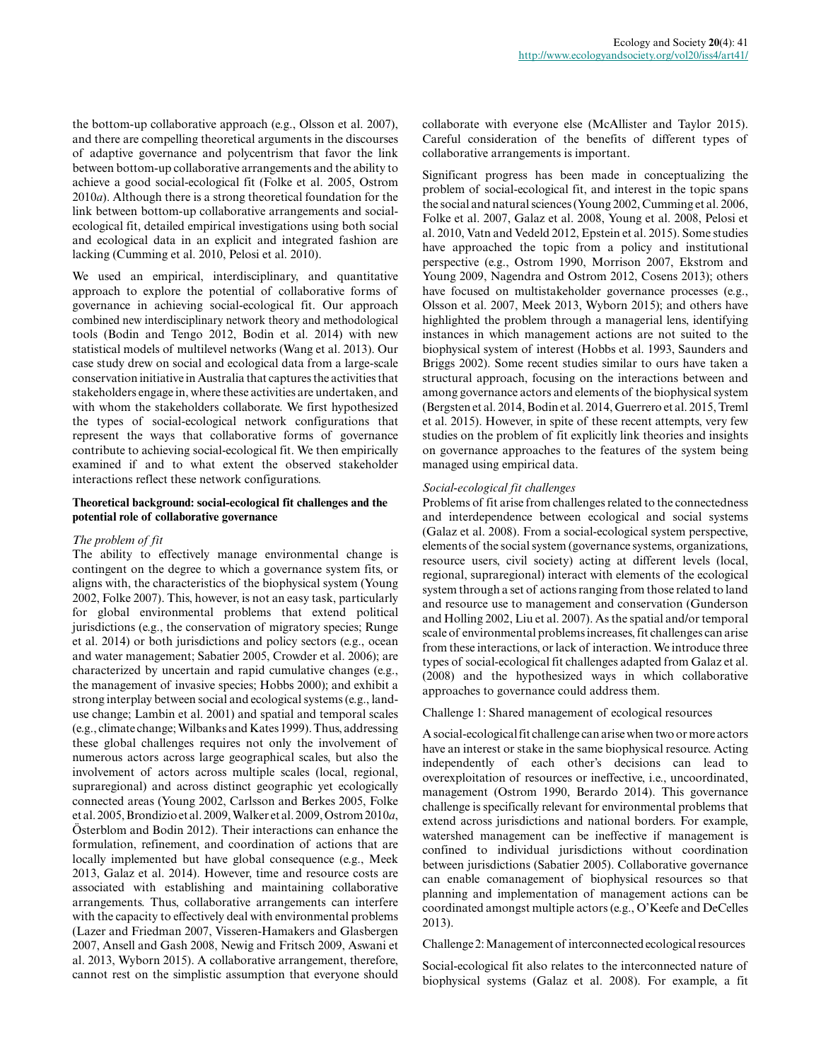the bottom-up collaborative approach (e.g., Olsson et al. 2007), and there are compelling theoretical arguments in the discourses of adaptive governance and polycentrism that favor the link between bottom-up collaborative arrangements and the ability to achieve a good social-ecological fit (Folke et al. 2005, Ostrom 2010*a*). Although there is a strong theoretical foundation for the link between bottom-up collaborative arrangements and socialecological fit, detailed empirical investigations using both social and ecological data in an explicit and integrated fashion are lacking (Cumming et al. 2010, Pelosi et al. 2010).

We used an empirical, interdisciplinary, and quantitative approach to explore the potential of collaborative forms of governance in achieving social-ecological fit. Our approach combined new interdisciplinary network theory and methodological tools (Bodin and Tengo 2012, Bodin et al. 2014) with new statistical models of multilevel networks (Wang et al. 2013). Our case study drew on social and ecological data from a large-scale conservation initiative in Australia that captures the activities that stakeholders engage in, where these activities are undertaken, and with whom the stakeholders collaborate. We first hypothesized the types of social-ecological network configurations that represent the ways that collaborative forms of governance contribute to achieving social-ecological fit. We then empirically examined if and to what extent the observed stakeholder interactions reflect these network configurations.

#### **Theoretical background: social-ecological fit challenges and the potential role of collaborative governance**

#### *The problem of fit*

The ability to effectively manage environmental change is contingent on the degree to which a governance system fits, or aligns with, the characteristics of the biophysical system (Young 2002, Folke 2007). This, however, is not an easy task, particularly for global environmental problems that extend political jurisdictions (e.g., the conservation of migratory species; Runge et al. 2014) or both jurisdictions and policy sectors (e.g., ocean and water management; Sabatier 2005, Crowder et al. 2006); are characterized by uncertain and rapid cumulative changes (e.g., the management of invasive species; Hobbs 2000); and exhibit a strong interplay between social and ecological systems (e.g., landuse change; Lambin et al. 2001) and spatial and temporal scales (e.g., climate change; Wilbanks and Kates 1999). Thus, addressing these global challenges requires not only the involvement of numerous actors across large geographical scales, but also the involvement of actors across multiple scales (local, regional, supraregional) and across distinct geographic yet ecologically connected areas (Young 2002, Carlsson and Berkes 2005, Folke et al. 2005, Brondizio et al. 2009, Walker et al. 2009, Ostrom 2010*a*, Österblom and Bodin 2012). Their interactions can enhance the formulation, refinement, and coordination of actions that are locally implemented but have global consequence (e.g., Meek 2013, Galaz et al. 2014). However, time and resource costs are associated with establishing and maintaining collaborative arrangements. Thus, collaborative arrangements can interfere with the capacity to effectively deal with environmental problems (Lazer and Friedman 2007, Visseren-Hamakers and Glasbergen 2007, Ansell and Gash 2008, Newig and Fritsch 2009, Aswani et al. 2013, Wyborn 2015). A collaborative arrangement, therefore, cannot rest on the simplistic assumption that everyone should

collaborate with everyone else (McAllister and Taylor 2015). Careful consideration of the benefits of different types of collaborative arrangements is important.

Significant progress has been made in conceptualizing the problem of social-ecological fit, and interest in the topic spans the social and natural sciences (Young 2002, Cumming et al. 2006, Folke et al. 2007, Galaz et al. 2008, Young et al. 2008, Pelosi et al. 2010, Vatn and Vedeld 2012, Epstein et al. 2015). Some studies have approached the topic from a policy and institutional perspective (e.g., Ostrom 1990, Morrison 2007, Ekstrom and Young 2009, Nagendra and Ostrom 2012, Cosens 2013); others have focused on multistakeholder governance processes (e.g., Olsson et al. 2007, Meek 2013, Wyborn 2015); and others have highlighted the problem through a managerial lens, identifying instances in which management actions are not suited to the biophysical system of interest (Hobbs et al. 1993, Saunders and Briggs 2002). Some recent studies similar to ours have taken a structural approach, focusing on the interactions between and among governance actors and elements of the biophysical system (Bergsten et al. 2014, Bodin et al. 2014, Guerrero et al. 2015, Treml et al. 2015). However, in spite of these recent attempts, very few studies on the problem of fit explicitly link theories and insights on governance approaches to the features of the system being managed using empirical data.

#### *Social-ecological fit challenges*

Problems of fit arise from challenges related to the connectedness and interdependence between ecological and social systems (Galaz et al. 2008). From a social-ecological system perspective, elements of the social system (governance systems, organizations, resource users, civil society) acting at different levels (local, regional, supraregional) interact with elements of the ecological system through a set of actions ranging from those related to land and resource use to management and conservation (Gunderson and Holling 2002, Liu et al. 2007). As the spatial and/or temporal scale of environmental problems increases, fit challenges can arise from these interactions, or lack of interaction. We introduce three types of social-ecological fit challenges adapted from Galaz et al. (2008) and the hypothesized ways in which collaborative approaches to governance could address them.

#### Challenge 1: Shared management of ecological resources

A social-ecological fit challenge can arise when two or more actors have an interest or stake in the same biophysical resource. Acting independently of each other's decisions can lead to overexploitation of resources or ineffective, i.e., uncoordinated, management (Ostrom 1990, Berardo 2014). This governance challenge is specifically relevant for environmental problems that extend across jurisdictions and national borders. For example, watershed management can be ineffective if management is confined to individual jurisdictions without coordination between jurisdictions (Sabatier 2005). Collaborative governance can enable comanagement of biophysical resources so that planning and implementation of management actions can be coordinated amongst multiple actors (e.g., O'Keefe and DeCelles 2013).

Challenge 2: Management of interconnected ecological resources

Social-ecological fit also relates to the interconnected nature of biophysical systems (Galaz et al. 2008). For example, a fit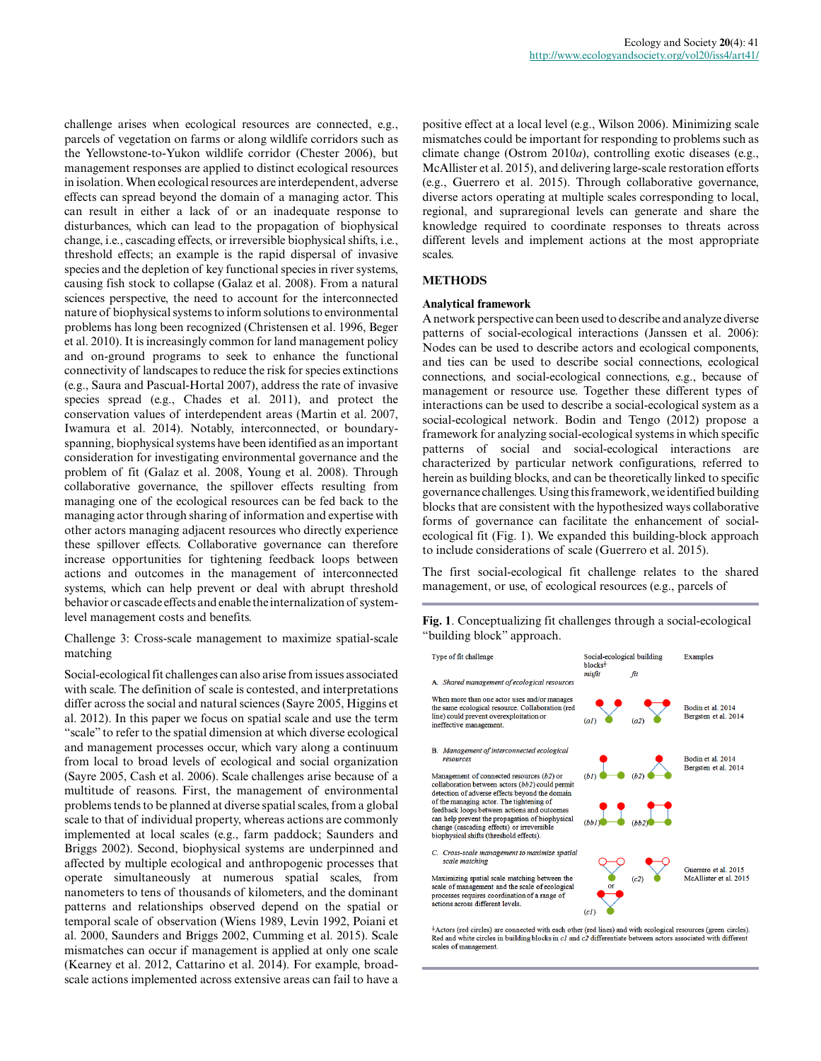challenge arises when ecological resources are connected, e.g., parcels of vegetation on farms or along wildlife corridors such as the Yellowstone-to-Yukon wildlife corridor (Chester 2006), but management responses are applied to distinct ecological resources in isolation. When ecological resources are interdependent, adverse effects can spread beyond the domain of a managing actor. This can result in either a lack of or an inadequate response to disturbances, which can lead to the propagation of biophysical change, i.e., cascading effects, or irreversible biophysical shifts, i.e., threshold effects; an example is the rapid dispersal of invasive species and the depletion of key functional species in river systems, causing fish stock to collapse (Galaz et al. 2008). From a natural sciences perspective, the need to account for the interconnected nature of biophysical systems to inform solutions to environmental problems has long been recognized (Christensen et al. 1996, Beger et al. 2010). It is increasingly common for land management policy and on-ground programs to seek to enhance the functional connectivity of landscapes to reduce the risk for species extinctions (e.g., Saura and Pascual-Hortal 2007), address the rate of invasive species spread (e.g., Chades et al. 2011), and protect the conservation values of interdependent areas (Martin et al. 2007, Iwamura et al. 2014). Notably, interconnected, or boundaryspanning, biophysical systems have been identified as an important consideration for investigating environmental governance and the problem of fit (Galaz et al. 2008, Young et al. 2008). Through collaborative governance, the spillover effects resulting from managing one of the ecological resources can be fed back to the managing actor through sharing of information and expertise with other actors managing adjacent resources who directly experience these spillover effects. Collaborative governance can therefore increase opportunities for tightening feedback loops between actions and outcomes in the management of interconnected systems, which can help prevent or deal with abrupt threshold behavior or cascade effects and enable the internalization of systemlevel management costs and benefits.

Challenge 3: Cross-scale management to maximize spatial-scale matching

Social-ecological fit challenges can also arise from issues associated with scale. The definition of scale is contested, and interpretations differ across the social and natural sciences (Sayre 2005, Higgins et al. 2012). In this paper we focus on spatial scale and use the term "scale" to refer to the spatial dimension at which diverse ecological and management processes occur, which vary along a continuum from local to broad levels of ecological and social organization (Sayre 2005, Cash et al. 2006). Scale challenges arise because of a multitude of reasons. First, the management of environmental problems tends to be planned at diverse spatial scales, from a global scale to that of individual property, whereas actions are commonly implemented at local scales (e.g., farm paddock; Saunders and Briggs 2002). Second, biophysical systems are underpinned and affected by multiple ecological and anthropogenic processes that operate simultaneously at numerous spatial scales, from nanometers to tens of thousands of kilometers, and the dominant patterns and relationships observed depend on the spatial or temporal scale of observation (Wiens 1989, Levin 1992, Poiani et al. 2000, Saunders and Briggs 2002, Cumming et al. 2015). Scale mismatches can occur if management is applied at only one scale (Kearney et al. 2012, Cattarino et al. 2014). For example, broadscale actions implemented across extensive areas can fail to have a

positive effect at a local level (e.g., Wilson 2006). Minimizing scale mismatches could be important for responding to problems such as climate change (Ostrom 2010*a*), controlling exotic diseases (e.g., McAllister et al. 2015), and delivering large-scale restoration efforts (e.g., Guerrero et al. 2015). Through collaborative governance, diverse actors operating at multiple scales corresponding to local, regional, and supraregional levels can generate and share the knowledge required to coordinate responses to threats across different levels and implement actions at the most appropriate scales.

#### **METHODS**

#### **Analytical framework**

A network perspective can been used to describe and analyze diverse patterns of social-ecological interactions (Janssen et al. 2006): Nodes can be used to describe actors and ecological components, and ties can be used to describe social connections, ecological connections, and social-ecological connections, e.g., because of management or resource use. Together these different types of interactions can be used to describe a social-ecological system as a social-ecological network. Bodin and Tengo (2012) propose a framework for analyzing social-ecological systems in which specific patterns of social and social-ecological interactions are characterized by particular network configurations, referred to herein as building blocks, and can be theoretically linked to specific governance challenges. Using this framework, we identified building blocks that are consistent with the hypothesized ways collaborative forms of governance can facilitate the enhancement of socialecological fit (Fig. 1). We expanded this building-block approach to include considerations of scale (Guerrero et al. 2015).

The first social-ecological fit challenge relates to the shared management, or use, of ecological resources (e.g., parcels of

**Fig. 1**. Conceptualizing fit challenges through a social-ecological "building block" approach.



+Actors (red circles) are connected with each other (red lines) and with ecological resources (green circles). Red and white circles in building blocks in c1 and c2 differentiate between actors associated with different scales of management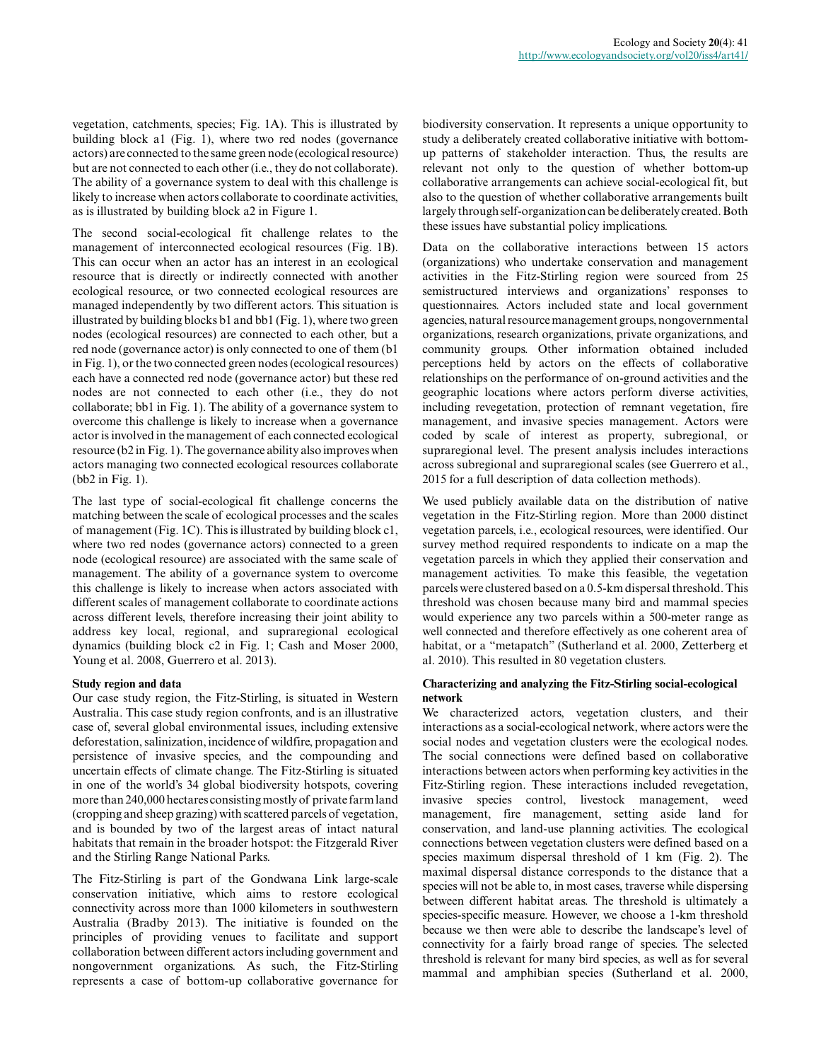vegetation, catchments, species; Fig. 1A). This is illustrated by building block a1 (Fig. 1), where two red nodes (governance actors) are connected to the same green node (ecological resource) but are not connected to each other (i.e., they do not collaborate). The ability of a governance system to deal with this challenge is likely to increase when actors collaborate to coordinate activities, as is illustrated by building block a2 in Figure 1.

The second social-ecological fit challenge relates to the management of interconnected ecological resources (Fig. 1B). This can occur when an actor has an interest in an ecological resource that is directly or indirectly connected with another ecological resource, or two connected ecological resources are managed independently by two different actors. This situation is illustrated by building blocks b1 and bb1 (Fig. 1), where two green nodes (ecological resources) are connected to each other, but a red node (governance actor) is only connected to one of them (b1 in Fig. 1), or the two connected green nodes (ecological resources) each have a connected red node (governance actor) but these red nodes are not connected to each other (i.e., they do not collaborate; bb1 in Fig. 1). The ability of a governance system to overcome this challenge is likely to increase when a governance actor is involved in the management of each connected ecological resource (b2 in Fig. 1). The governance ability also improves when actors managing two connected ecological resources collaborate (bb2 in Fig. 1).

The last type of social-ecological fit challenge concerns the matching between the scale of ecological processes and the scales of management (Fig. 1C). This is illustrated by building block c1, where two red nodes (governance actors) connected to a green node (ecological resource) are associated with the same scale of management. The ability of a governance system to overcome this challenge is likely to increase when actors associated with different scales of management collaborate to coordinate actions across different levels, therefore increasing their joint ability to address key local, regional, and supraregional ecological dynamics (building block c2 in Fig. 1; Cash and Moser 2000, Young et al. 2008, Guerrero et al. 2013).

#### **Study region and data**

Our case study region, the Fitz-Stirling, is situated in Western Australia. This case study region confronts, and is an illustrative case of, several global environmental issues, including extensive deforestation, salinization, incidence of wildfire, propagation and persistence of invasive species, and the compounding and uncertain effects of climate change. The Fitz-Stirling is situated in one of the world's 34 global biodiversity hotspots, covering more than 240,000 hectares consisting mostly of private farm land (cropping and sheep grazing) with scattered parcels of vegetation, and is bounded by two of the largest areas of intact natural habitats that remain in the broader hotspot: the Fitzgerald River and the Stirling Range National Parks.

The Fitz-Stirling is part of the Gondwana Link large-scale conservation initiative, which aims to restore ecological connectivity across more than 1000 kilometers in southwestern Australia (Bradby 2013). The initiative is founded on the principles of providing venues to facilitate and support collaboration between different actors including government and nongovernment organizations. As such, the Fitz-Stirling represents a case of bottom-up collaborative governance for

biodiversity conservation. It represents a unique opportunity to study a deliberately created collaborative initiative with bottomup patterns of stakeholder interaction. Thus, the results are relevant not only to the question of whether bottom-up collaborative arrangements can achieve social-ecological fit, but also to the question of whether collaborative arrangements built largely through self-organization can be deliberately created. Both these issues have substantial policy implications.

Data on the collaborative interactions between 15 actors (organizations) who undertake conservation and management activities in the Fitz-Stirling region were sourced from 25 semistructured interviews and organizations' responses to questionnaires. Actors included state and local government agencies, natural resource management groups, nongovernmental organizations, research organizations, private organizations, and community groups. Other information obtained included perceptions held by actors on the effects of collaborative relationships on the performance of on-ground activities and the geographic locations where actors perform diverse activities, including revegetation, protection of remnant vegetation, fire management, and invasive species management. Actors were coded by scale of interest as property, subregional, or supraregional level. The present analysis includes interactions across subregional and supraregional scales (see Guerrero et al., 2015 for a full description of data collection methods).

We used publicly available data on the distribution of native vegetation in the Fitz-Stirling region. More than 2000 distinct vegetation parcels, i.e., ecological resources, were identified. Our survey method required respondents to indicate on a map the vegetation parcels in which they applied their conservation and management activities. To make this feasible, the vegetation parcels were clustered based on a 0.5-km dispersal threshold. This threshold was chosen because many bird and mammal species would experience any two parcels within a 500-meter range as well connected and therefore effectively as one coherent area of habitat, or a "metapatch" (Sutherland et al. 2000, Zetterberg et al. 2010). This resulted in 80 vegetation clusters.

#### **Characterizing and analyzing the Fitz-Stirling social-ecological network**

We characterized actors, vegetation clusters, and their interactions as a social-ecological network, where actors were the social nodes and vegetation clusters were the ecological nodes. The social connections were defined based on collaborative interactions between actors when performing key activities in the Fitz-Stirling region. These interactions included revegetation, invasive species control, livestock management, weed management, fire management, setting aside land for conservation, and land-use planning activities. The ecological connections between vegetation clusters were defined based on a species maximum dispersal threshold of 1 km (Fig. 2). The maximal dispersal distance corresponds to the distance that a species will not be able to, in most cases, traverse while dispersing between different habitat areas. The threshold is ultimately a species-specific measure. However, we choose a 1-km threshold because we then were able to describe the landscape's level of connectivity for a fairly broad range of species. The selected threshold is relevant for many bird species, as well as for several mammal and amphibian species (Sutherland et al. 2000,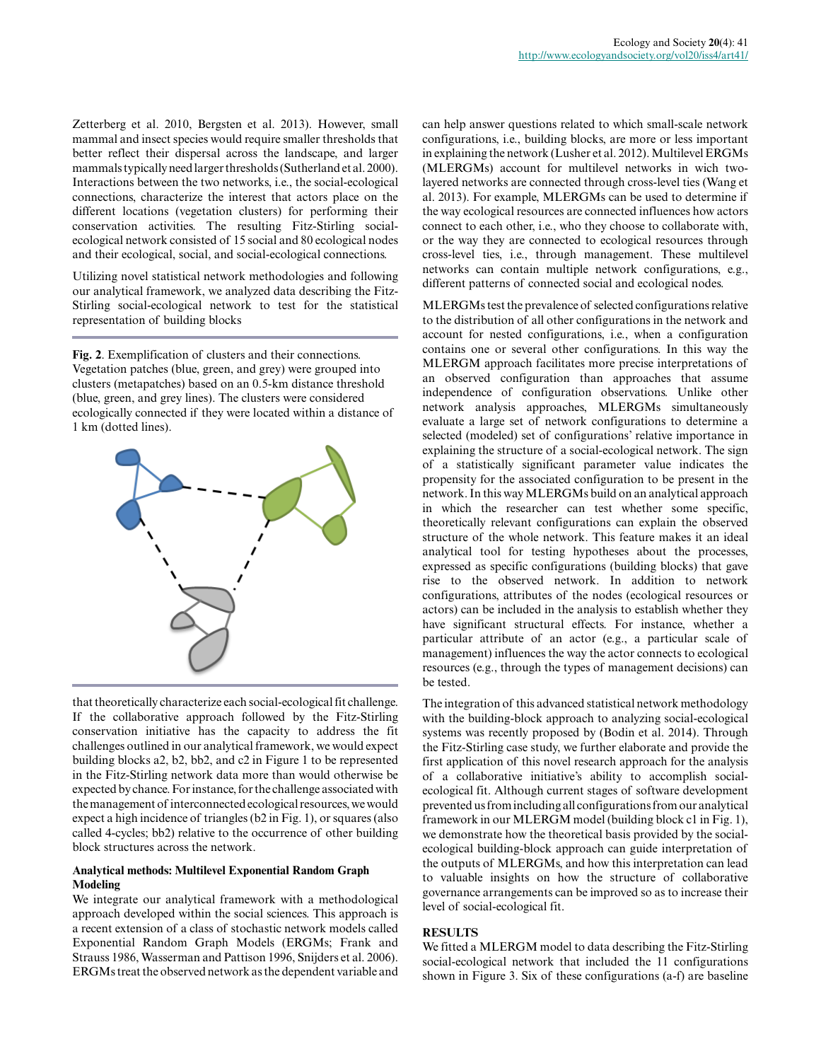Zetterberg et al. 2010, Bergsten et al. 2013). However, small mammal and insect species would require smaller thresholds that better reflect their dispersal across the landscape, and larger mammals typically need larger thresholds (Sutherland et al. 2000). Interactions between the two networks, i.e., the social-ecological connections, characterize the interest that actors place on the different locations (vegetation clusters) for performing their conservation activities. The resulting Fitz-Stirling socialecological network consisted of 15 social and 80 ecological nodes and their ecological, social, and social-ecological connections.

Utilizing novel statistical network methodologies and following our analytical framework, we analyzed data describing the Fitz-Stirling social-ecological network to test for the statistical representation of building blocks

**Fig. 2**. Exemplification of clusters and their connections. Vegetation patches (blue, green, and grey) were grouped into clusters (metapatches) based on an 0.5-km distance threshold (blue, green, and grey lines). The clusters were considered ecologically connected if they were located within a distance of 1 km (dotted lines).



that theoretically characterize each social-ecological fit challenge. If the collaborative approach followed by the Fitz-Stirling conservation initiative has the capacity to address the fit challenges outlined in our analytical framework, we would expect building blocks a2, b2, bb2, and c2 in Figure 1 to be represented in the Fitz-Stirling network data more than would otherwise be expected by chance. For instance, for the challenge associated with the management of interconnected ecological resources, we would expect a high incidence of triangles (b2 in Fig. 1), or squares (also called 4-cycles; bb2) relative to the occurrence of other building block structures across the network.

#### **Analytical methods: Multilevel Exponential Random Graph Modeling**

We integrate our analytical framework with a methodological approach developed within the social sciences. This approach is a recent extension of a class of stochastic network models called Exponential Random Graph Models (ERGMs; Frank and Strauss 1986, Wasserman and Pattison 1996, Snijders et al. 2006). ERGMs treat the observed network as the dependent variable and can help answer questions related to which small-scale network configurations, i.e., building blocks, are more or less important in explaining the network (Lusher et al. 2012). Multilevel ERGMs (MLERGMs) account for multilevel networks in wich twolayered networks are connected through cross-level ties (Wang et al. 2013). For example, MLERGMs can be used to determine if the way ecological resources are connected influences how actors connect to each other, i.e., who they choose to collaborate with, or the way they are connected to ecological resources through cross-level ties, i.e., through management. These multilevel networks can contain multiple network configurations, e.g., different patterns of connected social and ecological nodes.

MLERGMs test the prevalence of selected configurations relative to the distribution of all other configurations in the network and account for nested configurations, i.e., when a configuration contains one or several other configurations. In this way the MLERGM approach facilitates more precise interpretations of an observed configuration than approaches that assume independence of configuration observations. Unlike other network analysis approaches, MLERGMs simultaneously evaluate a large set of network configurations to determine a selected (modeled) set of configurations' relative importance in explaining the structure of a social-ecological network. The sign of a statistically significant parameter value indicates the propensity for the associated configuration to be present in the network. In this way MLERGMs build on an analytical approach in which the researcher can test whether some specific, theoretically relevant configurations can explain the observed structure of the whole network. This feature makes it an ideal analytical tool for testing hypotheses about the processes, expressed as specific configurations (building blocks) that gave rise to the observed network. In addition to network configurations, attributes of the nodes (ecological resources or actors) can be included in the analysis to establish whether they have significant structural effects. For instance, whether a particular attribute of an actor (e.g., a particular scale of management) influences the way the actor connects to ecological resources (e.g., through the types of management decisions) can be tested.

The integration of this advanced statistical network methodology with the building-block approach to analyzing social-ecological systems was recently proposed by (Bodin et al. 2014). Through the Fitz-Stirling case study, we further elaborate and provide the first application of this novel research approach for the analysis of a collaborative initiative's ability to accomplish socialecological fit. Although current stages of software development prevented us from including all configurations from our analytical framework in our MLERGM model (building block c1 in Fig. 1), we demonstrate how the theoretical basis provided by the socialecological building-block approach can guide interpretation of the outputs of MLERGMs, and how this interpretation can lead to valuable insights on how the structure of collaborative governance arrangements can be improved so as to increase their level of social-ecological fit.

#### **RESULTS**

We fitted a MLERGM model to data describing the Fitz-Stirling social-ecological network that included the 11 configurations shown in Figure 3. Six of these configurations (a-f) are baseline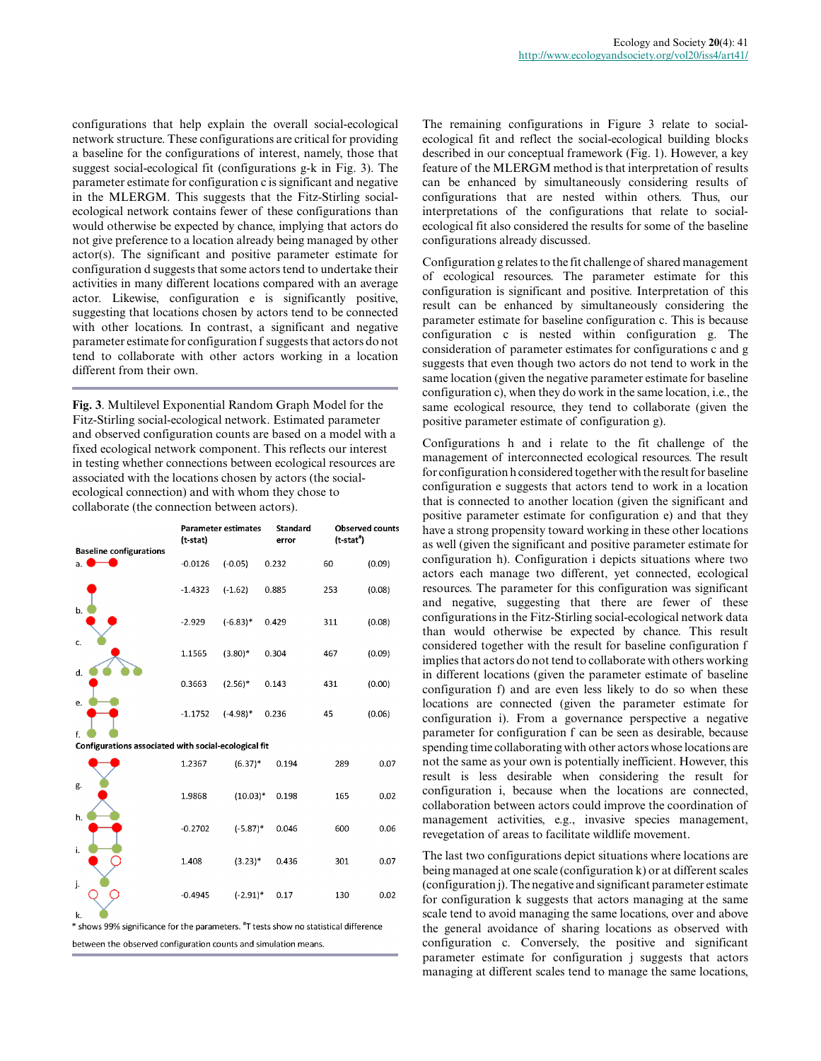configurations that help explain the overall social-ecological network structure. These configurations are critical for providing a baseline for the configurations of interest, namely, those that suggest social-ecological fit (configurations g-k in Fig. 3). The parameter estimate for configuration c is significant and negative in the MLERGM. This suggests that the Fitz-Stirling socialecological network contains fewer of these configurations than would otherwise be expected by chance, implying that actors do not give preference to a location already being managed by other actor(s). The significant and positive parameter estimate for configuration d suggests that some actors tend to undertake their activities in many different locations compared with an average actor. Likewise, configuration e is significantly positive, suggesting that locations chosen by actors tend to be connected with other locations. In contrast, a significant and negative parameter estimate for configuration f suggests that actors do not tend to collaborate with other actors working in a location different from their own.

**Fig. 3**. Multilevel Exponential Random Graph Model for the Fitz-Stirling social-ecological network. Estimated parameter and observed configuration counts are based on a model with a fixed ecological network component. This reflects our interest in testing whether connections between ecological resources are associated with the locations chosen by actors (the socialecological connection) and with whom they chose to collaborate (the connection between actors).

| <b>Baseline configurations</b>                             | <b>Parameter estimates</b><br>(t-stat) |             | <b>Standard</b><br>error | <b>Observed counts</b><br>(t-stat") |        |
|------------------------------------------------------------|----------------------------------------|-------------|--------------------------|-------------------------------------|--------|
| a.                                                         | $-0.0126$                              | $(-0.05)$   | 0.232                    | 60                                  | (0.09) |
|                                                            | $-1.4323$                              | $(-1.62)$   | 0.885                    | 253                                 | (0.08) |
| b.                                                         | $-2.929$                               | $(-6.83)*$  | 0.429                    | 311                                 | (0.08) |
| c.                                                         | 1.1565                                 | $(3.80)$ *  | 0.304                    | 467                                 | (0.09) |
| d.                                                         | 0.3663                                 | $(2.56)^*$  | 0.143                    | 431                                 | (0.00) |
| e.                                                         | $-1.1752$                              | $(-4.98)$ * | 0.236                    | 45                                  | (0.06) |
| f.<br>Configurations associated with social-ecological fit |                                        |             |                          |                                     |        |
|                                                            | 1.2367                                 | $(6.37)^*$  | 0.194                    | 289                                 | 0.07   |
| g.                                                         | 1.9868                                 | $(10.03)*$  | 0.198                    | 165                                 | 0.02   |
| h.                                                         | $-0.2702$                              | $(-5.87)$ * | 0.046                    | 600                                 | 0.06   |
| i.                                                         | 1.408                                  | $(3.23)*$   | 0.436                    | 301                                 | 0.07   |
| j.                                                         | $-0.4945$                              | $(-2.91)^*$ | 0.17                     | 130                                 | 0.02   |
| k.                                                         |                                        |             |                          |                                     |        |

\* shows 99% significance for the parameters. "T tests show no statistical difference between the observed configuration counts and simulation means.

The remaining configurations in Figure 3 relate to socialecological fit and reflect the social-ecological building blocks described in our conceptual framework (Fig. 1). However, a key feature of the MLERGM method is that interpretation of results can be enhanced by simultaneously considering results of configurations that are nested within others. Thus, our interpretations of the configurations that relate to socialecological fit also considered the results for some of the baseline configurations already discussed.

Configuration g relates to the fit challenge of shared management of ecological resources. The parameter estimate for this configuration is significant and positive. Interpretation of this result can be enhanced by simultaneously considering the parameter estimate for baseline configuration c. This is because configuration c is nested within configuration g. The consideration of parameter estimates for configurations c and g suggests that even though two actors do not tend to work in the same location (given the negative parameter estimate for baseline configuration c), when they do work in the same location, i.e., the same ecological resource, they tend to collaborate (given the positive parameter estimate of configuration g).

Configurations h and i relate to the fit challenge of the management of interconnected ecological resources. The result for configuration h considered together with the result for baseline configuration e suggests that actors tend to work in a location that is connected to another location (given the significant and positive parameter estimate for configuration e) and that they have a strong propensity toward working in these other locations as well (given the significant and positive parameter estimate for configuration h). Configuration i depicts situations where two actors each manage two different, yet connected, ecological resources. The parameter for this configuration was significant and negative, suggesting that there are fewer of these configurations in the Fitz-Stirling social-ecological network data than would otherwise be expected by chance. This result considered together with the result for baseline configuration f implies that actors do not tend to collaborate with others working in different locations (given the parameter estimate of baseline configuration f) and are even less likely to do so when these locations are connected (given the parameter estimate for configuration i). From a governance perspective a negative parameter for configuration f can be seen as desirable, because spending time collaborating with other actors whose locations are not the same as your own is potentially inefficient. However, this result is less desirable when considering the result for configuration i, because when the locations are connected, collaboration between actors could improve the coordination of management activities, e.g., invasive species management, revegetation of areas to facilitate wildlife movement.

The last two configurations depict situations where locations are being managed at one scale (configuration k) or at different scales (configuration j). The negative and significant parameter estimate for configuration k suggests that actors managing at the same scale tend to avoid managing the same locations, over and above the general avoidance of sharing locations as observed with configuration c. Conversely, the positive and significant parameter estimate for configuration j suggests that actors managing at different scales tend to manage the same locations,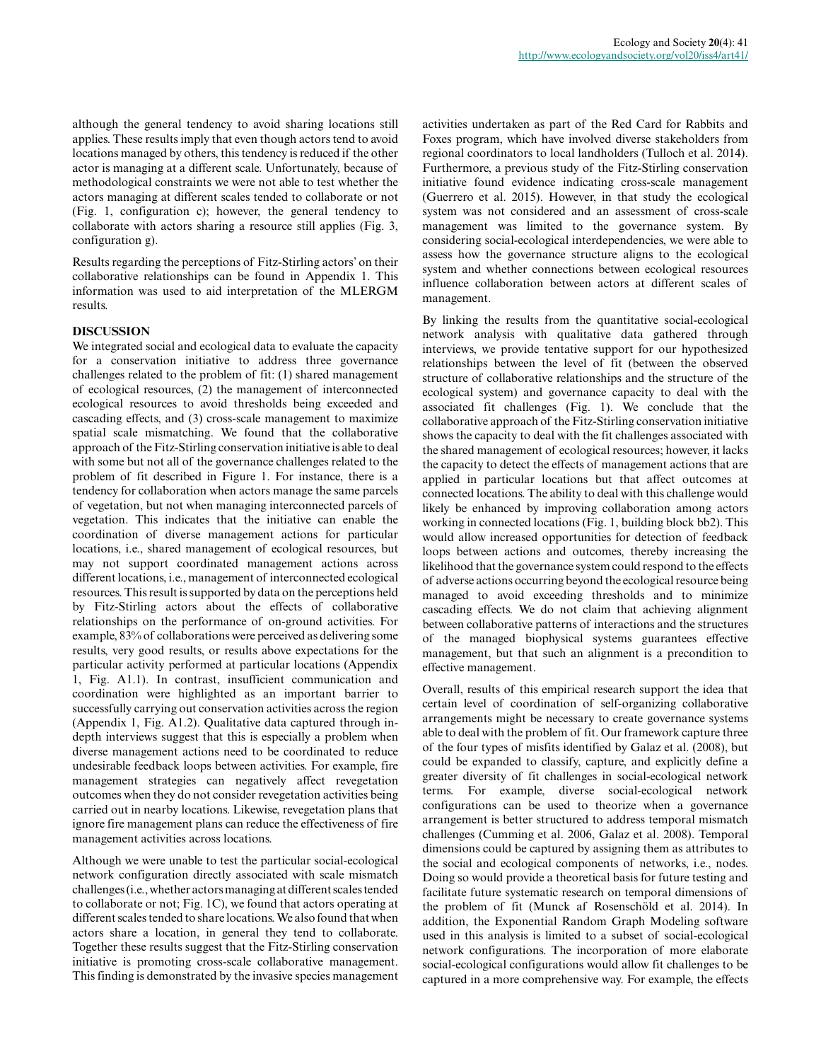although the general tendency to avoid sharing locations still applies. These results imply that even though actors tend to avoid locations managed by others, this tendency is reduced if the other actor is managing at a different scale. Unfortunately, because of methodological constraints we were not able to test whether the actors managing at different scales tended to collaborate or not (Fig. 1, configuration c); however, the general tendency to collaborate with actors sharing a resource still applies (Fig. 3, configuration g).

Results regarding the perceptions of Fitz-Stirling actors' on their collaborative relationships can be found in Appendix 1. This information was used to aid interpretation of the MLERGM results.

#### **DISCUSSION**

We integrated social and ecological data to evaluate the capacity for a conservation initiative to address three governance challenges related to the problem of fit: (1) shared management of ecological resources, (2) the management of interconnected ecological resources to avoid thresholds being exceeded and cascading effects, and (3) cross-scale management to maximize spatial scale mismatching. We found that the collaborative approach of the Fitz-Stirling conservation initiative is able to deal with some but not all of the governance challenges related to the problem of fit described in Figure 1. For instance, there is a tendency for collaboration when actors manage the same parcels of vegetation, but not when managing interconnected parcels of vegetation. This indicates that the initiative can enable the coordination of diverse management actions for particular locations, i.e., shared management of ecological resources, but may not support coordinated management actions across different locations, i.e., management of interconnected ecological resources. This result is supported by data on the perceptions held by Fitz-Stirling actors about the effects of collaborative relationships on the performance of on-ground activities. For example, 83% of collaborations were perceived as delivering some results, very good results, or results above expectations for the particular activity performed at particular locations (Appendix 1, Fig. A1.1). In contrast, insufficient communication and coordination were highlighted as an important barrier to successfully carrying out conservation activities across the region (Appendix 1, Fig. A1.2). Qualitative data captured through indepth interviews suggest that this is especially a problem when diverse management actions need to be coordinated to reduce undesirable feedback loops between activities. For example, fire management strategies can negatively affect revegetation outcomes when they do not consider revegetation activities being carried out in nearby locations. Likewise, revegetation plans that ignore fire management plans can reduce the effectiveness of fire management activities across locations.

Although we were unable to test the particular social-ecological network configuration directly associated with scale mismatch challenges (i.e., whether actors managing at different scales tended to collaborate or not; Fig. 1C), we found that actors operating at different scales tended to share locations. We also found that when actors share a location, in general they tend to collaborate. Together these results suggest that the Fitz-Stirling conservation initiative is promoting cross-scale collaborative management. This finding is demonstrated by the invasive species management

activities undertaken as part of the Red Card for Rabbits and Foxes program, which have involved diverse stakeholders from regional coordinators to local landholders (Tulloch et al. 2014). Furthermore, a previous study of the Fitz-Stirling conservation initiative found evidence indicating cross-scale management (Guerrero et al. 2015). However, in that study the ecological system was not considered and an assessment of cross-scale management was limited to the governance system. By considering social-ecological interdependencies, we were able to assess how the governance structure aligns to the ecological system and whether connections between ecological resources influence collaboration between actors at different scales of management.

By linking the results from the quantitative social-ecological network analysis with qualitative data gathered through interviews, we provide tentative support for our hypothesized relationships between the level of fit (between the observed structure of collaborative relationships and the structure of the ecological system) and governance capacity to deal with the associated fit challenges (Fig. 1). We conclude that the collaborative approach of the Fitz-Stirling conservation initiative shows the capacity to deal with the fit challenges associated with the shared management of ecological resources; however, it lacks the capacity to detect the effects of management actions that are applied in particular locations but that affect outcomes at connected locations. The ability to deal with this challenge would likely be enhanced by improving collaboration among actors working in connected locations (Fig. 1, building block bb2). This would allow increased opportunities for detection of feedback loops between actions and outcomes, thereby increasing the likelihood that the governance system could respond to the effects of adverse actions occurring beyond the ecological resource being managed to avoid exceeding thresholds and to minimize cascading effects. We do not claim that achieving alignment between collaborative patterns of interactions and the structures of the managed biophysical systems guarantees effective management, but that such an alignment is a precondition to effective management.

Overall, results of this empirical research support the idea that certain level of coordination of self-organizing collaborative arrangements might be necessary to create governance systems able to deal with the problem of fit. Our framework capture three of the four types of misfits identified by Galaz et al. (2008), but could be expanded to classify, capture, and explicitly define a greater diversity of fit challenges in social-ecological network terms. For example, diverse social-ecological network configurations can be used to theorize when a governance arrangement is better structured to address temporal mismatch challenges (Cumming et al. 2006, Galaz et al. 2008). Temporal dimensions could be captured by assigning them as attributes to the social and ecological components of networks, i.e., nodes. Doing so would provide a theoretical basis for future testing and facilitate future systematic research on temporal dimensions of the problem of fit (Munck af Rosenschöld et al. 2014). In addition, the Exponential Random Graph Modeling software used in this analysis is limited to a subset of social-ecological network configurations. The incorporation of more elaborate social-ecological configurations would allow fit challenges to be captured in a more comprehensive way. For example, the effects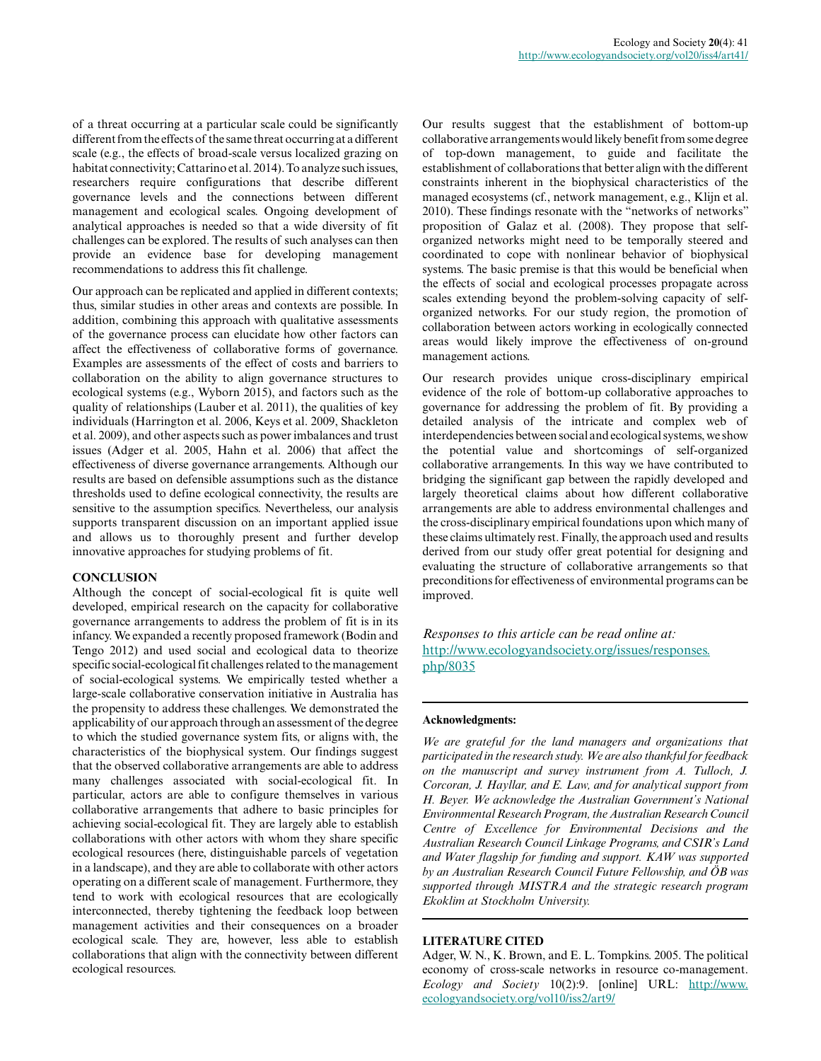of a threat occurring at a particular scale could be significantly different from the effects of the same threat occurring at a different scale (e.g., the effects of broad-scale versus localized grazing on habitat connectivity; Cattarino et al. 2014). To analyze such issues, researchers require configurations that describe different governance levels and the connections between different management and ecological scales. Ongoing development of analytical approaches is needed so that a wide diversity of fit challenges can be explored. The results of such analyses can then provide an evidence base for developing management recommendations to address this fit challenge.

Our approach can be replicated and applied in different contexts; thus, similar studies in other areas and contexts are possible. In addition, combining this approach with qualitative assessments of the governance process can elucidate how other factors can affect the effectiveness of collaborative forms of governance. Examples are assessments of the effect of costs and barriers to collaboration on the ability to align governance structures to ecological systems (e.g., Wyborn 2015), and factors such as the quality of relationships (Lauber et al. 2011), the qualities of key individuals (Harrington et al. 2006, Keys et al. 2009, Shackleton et al. 2009), and other aspects such as power imbalances and trust issues (Adger et al. 2005, Hahn et al. 2006) that affect the effectiveness of diverse governance arrangements. Although our results are based on defensible assumptions such as the distance thresholds used to define ecological connectivity, the results are sensitive to the assumption specifics. Nevertheless, our analysis supports transparent discussion on an important applied issue and allows us to thoroughly present and further develop innovative approaches for studying problems of fit.

## **CONCLUSION**

Although the concept of social-ecological fit is quite well developed, empirical research on the capacity for collaborative governance arrangements to address the problem of fit is in its infancy. We expanded a recently proposed framework (Bodin and Tengo 2012) and used social and ecological data to theorize specific social-ecological fit challenges related to the management of social-ecological systems. We empirically tested whether a large-scale collaborative conservation initiative in Australia has the propensity to address these challenges. We demonstrated the applicability of our approach through an assessment of the degree to which the studied governance system fits, or aligns with, the characteristics of the biophysical system. Our findings suggest that the observed collaborative arrangements are able to address many challenges associated with social-ecological fit. In particular, actors are able to configure themselves in various collaborative arrangements that adhere to basic principles for achieving social-ecological fit. They are largely able to establish collaborations with other actors with whom they share specific ecological resources (here, distinguishable parcels of vegetation in a landscape), and they are able to collaborate with other actors operating on a different scale of management. Furthermore, they tend to work with ecological resources that are ecologically interconnected, thereby tightening the feedback loop between management activities and their consequences on a broader ecological scale. They are, however, less able to establish collaborations that align with the connectivity between different ecological resources.

Our results suggest that the establishment of bottom-up collaborative arrangements would likely benefit from some degree of top-down management, to guide and facilitate the establishment of collaborations that better align with the different constraints inherent in the biophysical characteristics of the managed ecosystems (cf., network management, e.g., Klijn et al. 2010). These findings resonate with the "networks of networks" proposition of Galaz et al. (2008). They propose that selforganized networks might need to be temporally steered and coordinated to cope with nonlinear behavior of biophysical systems. The basic premise is that this would be beneficial when the effects of social and ecological processes propagate across scales extending beyond the problem-solving capacity of selforganized networks. For our study region, the promotion of collaboration between actors working in ecologically connected areas would likely improve the effectiveness of on-ground management actions.

Our research provides unique cross-disciplinary empirical evidence of the role of bottom-up collaborative approaches to governance for addressing the problem of fit. By providing a detailed analysis of the intricate and complex web of interdependencies between social and ecological systems, we show the potential value and shortcomings of self-organized collaborative arrangements. In this way we have contributed to bridging the significant gap between the rapidly developed and largely theoretical claims about how different collaborative arrangements are able to address environmental challenges and the cross-disciplinary empirical foundations upon which many of these claims ultimately rest. Finally, the approach used and results derived from our study offer great potential for designing and evaluating the structure of collaborative arrangements so that preconditions for effectiveness of environmental programs can be improved.

*Responses to this article can be read online at:* [http://www.ecologyandsociety.org/issues/responses.](http://www.ecologyandsociety.org/issues/responses.php/8035) [php/8035](http://www.ecologyandsociety.org/issues/responses.php/8035)

#### **Acknowledgments:**

*We are grateful for the land managers and organizations that participated in the research study. We are also thankful for feedback on the manuscript and survey instrument from A. Tulloch, J. Corcoran, J. Hayllar, and E. Law, and for analytical support from H. Beyer. We acknowledge the Australian Government's National Environmental Research Program, the Australian Research Council Centre of Excellence for Environmental Decisions and the Australian Research Council Linkage Programs, and CSIR's Land and Water flagship for funding and support. KAW was supported by an Australian Research Council Future Fellowship, and ÖB was supported through MISTRA and the strategic research program Ekoklim at Stockholm University.*

#### **LITERATURE CITED**

Adger, W. N., K. Brown, and E. L. Tompkins. 2005. The political economy of cross-scale networks in resource co-management. *Ecology and Society* 10(2):9. [online] URL: [http://www.](http://www.ecologyandsociety.org/vol10/iss2/art9/) [ecologyandsociety.org/vol10/iss2/art9/](http://www.ecologyandsociety.org/vol10/iss2/art9/)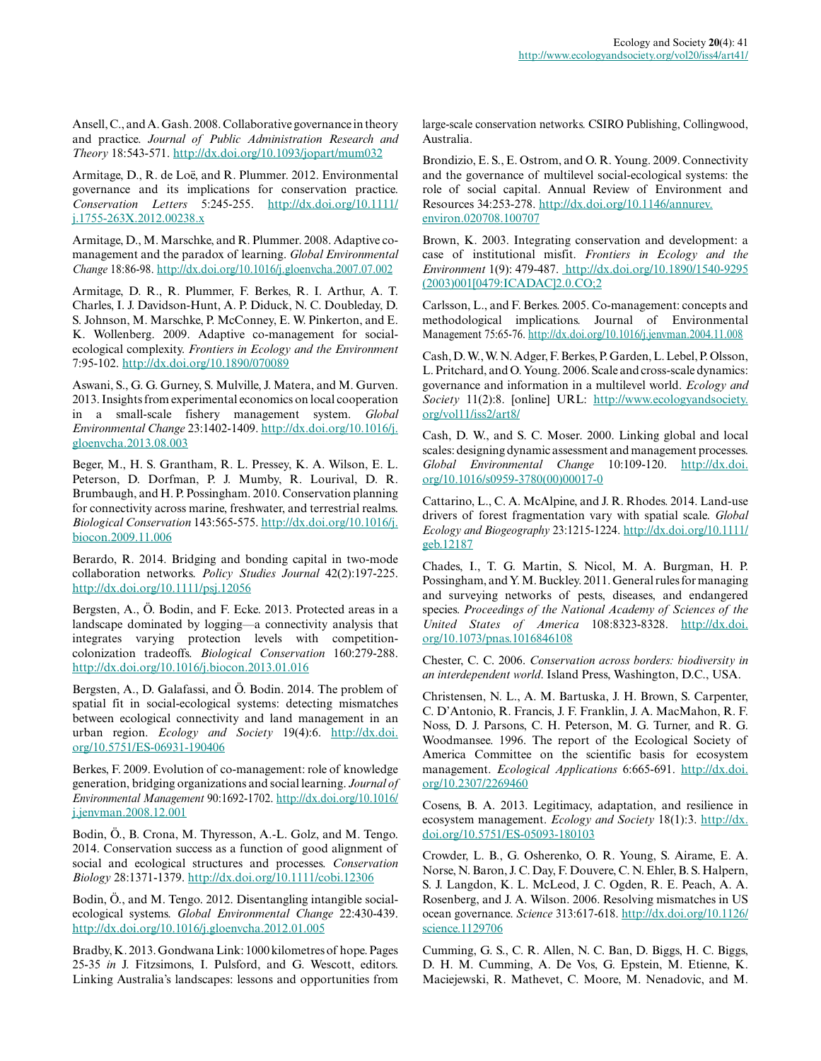Ansell, C., and A. Gash. 2008. Collaborative governance in theory and practice. *Journal of Public Administration Research and Theory* 18:543-571. [http://dx.doi.org/10.1093/jopart/mum032](http://dx.doi.org/10.1093%2Fjopart%2Fmum032)

Armitage, D., R. de Loë, and R. Plummer. 2012. Environmental governance and its implications for conservation practice. *Conservation Letters* 5:245-255. [http://dx.doi.org/10.1111/](http://dx.doi.org/10.1111%2Fj.1755-263X.2012.00238.x) [j.1755-263X.2012.00238.x](http://dx.doi.org/10.1111%2Fj.1755-263X.2012.00238.x) 

Armitage, D., M. Marschke, and R. Plummer. 2008. Adaptive comanagement and the paradox of learning. *Global Environmental Change* 18:86-98. [http://dx.doi.org/10.1016/j.gloenvcha.2007.07.002](http://dx.doi.org/10.1016%2Fj.gloenvcha.2007.07.002) 

Armitage, D. R., R. Plummer, F. Berkes, R. I. Arthur, A. T. Charles, I. J. Davidson-Hunt, A. P. Diduck, N. C. Doubleday, D. S. Johnson, M. Marschke, P. McConney, E. W. Pinkerton, and E. K. Wollenberg. 2009. Adaptive co-management for socialecological complexity. *Frontiers in Ecology and the Environment* 7:95-102. [http://dx.doi.org/10.1890/070089](http://dx.doi.org/10.1890%2F070089)

Aswani, S., G. G. Gurney, S. Mulville, J. Matera, and M. Gurven. 2013. Insights from experimental economics on local cooperation in a small-scale fishery management system. *Global Environmental Change* 23:1402-1409. [http://dx.doi.org/10.1016/j.](http://dx.doi.org/10.1016%2Fj.gloenvcha.2013.08.003) [gloenvcha.2013.08.003](http://dx.doi.org/10.1016%2Fj.gloenvcha.2013.08.003)

Beger, M., H. S. Grantham, R. L. Pressey, K. A. Wilson, E. L. Peterson, D. Dorfman, P. J. Mumby, R. Lourival, D. R. Brumbaugh, and H. P. Possingham. 2010. Conservation planning for connectivity across marine, freshwater, and terrestrial realms. *Biological Conservation* 143:565-575. [http://dx.doi.org/10.1016/j.](http://dx.doi.org/10.1016%2Fj.biocon.2009.11.006) [biocon.2009.11.006](http://dx.doi.org/10.1016%2Fj.biocon.2009.11.006)

Berardo, R. 2014. Bridging and bonding capital in two-mode collaboration networks. *Policy Studies Journal* 42(2):197-225. [http://dx.doi.org/10.1111/psj.12056](http://dx.doi.org/10.1111%2Fpsj.12056)

Bergsten, A., Ö. Bodin, and F. Ecke. 2013. Protected areas in a landscape dominated by logging—a connectivity analysis that integrates varying protection levels with competitioncolonization tradeoffs. *Biological Conservation* 160:279-288. [http://dx.doi.org/10.1016/j.biocon.2013.01.016](http://dx.doi.org/10.1016%2Fj.biocon.2013.01.016)

Bergsten, A., D. Galafassi, and Ö. Bodin. 2014. The problem of spatial fit in social-ecological systems: detecting mismatches between ecological connectivity and land management in an urban region. *Ecology and Society* 19(4):6. [http://dx.doi.](http://dx.doi.org/10.5751/ES-06931-190406) [org/10.5751/ES-06931-190406](http://dx.doi.org/10.5751/ES-06931-190406) 

Berkes, F. 2009. Evolution of co-management: role of knowledge generation, bridging organizations and social learning. *Journal of Environmental Management* 90:1692-1702. [http://dx.doi.org/10.1016/](http://dx.doi.org/10.1016%2Fj.jenvman.2008.12.001) [j.jenvman.2008.12.001](http://dx.doi.org/10.1016%2Fj.jenvman.2008.12.001)

Bodin, Ö., B. Crona, M. Thyresson, A.-L. Golz, and M. Tengo. 2014. Conservation success as a function of good alignment of social and ecological structures and processes. *Conservation Biology* 28:1371-1379. [http://dx.doi.org/10.1111/cobi.12306](http://dx.doi.org/10.1111%2Fcobi.12306) 

Bodin, Ö., and M. Tengo. 2012. Disentangling intangible socialecological systems. *Global Environmental Change* 22:430-439. [http://dx.doi.org/10.1016/j.gloenvcha.2012.01.005](http://dx.doi.org/10.1016%2Fj.gloenvcha.2012.01.005)

Bradby, K. 2013. Gondwana Link: 1000 kilometres of hope. Pages 25-35 *in* J. Fitzsimons, I. Pulsford, and G. Wescott, editors. Linking Australia's landscapes: lessons and opportunities from large-scale conservation networks. CSIRO Publishing, Collingwood, Australia.

Brondizio, E. S., E. Ostrom, and O. R. Young. 2009. Connectivity and the governance of multilevel social-ecological systems: the role of social capital. Annual Review of Environment and Resources 34:253-278. [http://dx.doi.org/10.1146/annurev.](http://dx.doi.org/10.1146%2Fannurev.environ.020708.100707) [environ.020708.100707](http://dx.doi.org/10.1146%2Fannurev.environ.020708.100707)

Brown, K. 2003. Integrating conservation and development: a case of institutional misfit. *Frontiers in Ecology and the Environment* 1(9): 479-487. [http://dx.doi.org/10.1890/1540-9295](http://dx.doi.org/10.1890/1540-9295(2003)001[0479:ICADAC]2.0.CO;2) [\(2003\)001\[0479:ICADAC\]2.0.CO;2](http://dx.doi.org/10.1890/1540-9295(2003)001[0479:ICADAC]2.0.CO;2) 

Carlsson, L., and F. Berkes. 2005. Co-management: concepts and methodological implications. Journal of Environmental Management 75:65-76. [http://dx.doi.org/10.1016/j.jenvman.2004.11.008](http://dx.doi.org/10.1016%2Fj.jenvman.2004.11.008)

Cash, D. W., W. N. Adger, F. Berkes, P. Garden, L. Lebel, P. Olsson, L. Pritchard, and O. Young. 2006. Scale and cross-scale dynamics: governance and information in a multilevel world. *Ecology and Society* 11(2):8. [online] URL: [http://www.ecologyandsociety.](http://www.ecologyandsociety.org/vol11/iss2/art8/) [org/vol11/iss2/art8/](http://www.ecologyandsociety.org/vol11/iss2/art8/) 

Cash, D. W., and S. C. Moser. 2000. Linking global and local scales: designing dynamic assessment and management processes. *Global Environmental Change* 10:109-120. [http://dx.doi.](http://dx.doi.org/10.1016%2Fs0959-3780%2800%2900017-0) [org/10.1016/s0959-3780\(00\)00017-0](http://dx.doi.org/10.1016%2Fs0959-3780%2800%2900017-0) 

Cattarino, L., C. A. McAlpine, and J. R. Rhodes. 2014. Land-use drivers of forest fragmentation vary with spatial scale. *Global Ecology and Biogeography* 23:1215-1224. [http://dx.doi.org/10.1111/](http://dx.doi.org/10.1111%2Fgeb.12187) [geb.12187](http://dx.doi.org/10.1111%2Fgeb.12187) 

Chades, I., T. G. Martin, S. Nicol, M. A. Burgman, H. P. Possingham, and Y. M. Buckley. 2011. General rules for managing and surveying networks of pests, diseases, and endangered species. *Proceedings of the National Academy of Sciences of the United States of America* 108:8323-8328. [http://dx.doi.](http://dx.doi.org/10.1073%2Fpnas.1016846108) [org/10.1073/pnas.1016846108](http://dx.doi.org/10.1073%2Fpnas.1016846108) 

Chester, C. C. 2006. *Conservation across borders: biodiversity in an interdependent world*. Island Press, Washington, D.C., USA.

Christensen, N. L., A. M. Bartuska, J. H. Brown, S. Carpenter, C. D'Antonio, R. Francis, J. F. Franklin, J. A. MacMahon, R. F. Noss, D. J. Parsons, C. H. Peterson, M. G. Turner, and R. G. Woodmansee. 1996. The report of the Ecological Society of America Committee on the scientific basis for ecosystem management. *Ecological Applications* 6:665-691. [http://dx.doi.](http://dx.doi.org/10.2307%2F2269460) [org/10.2307/2269460](http://dx.doi.org/10.2307%2F2269460) 

Cosens, B. A. 2013. Legitimacy, adaptation, and resilience in ecosystem management. *Ecology and Society* 18(1):3. [http://dx.](http://dx.doi.org/10.5751%2FES-05093-180103) [doi.org/10.5751/ES-05093-180103](http://dx.doi.org/10.5751%2FES-05093-180103)

Crowder, L. B., G. Osherenko, O. R. Young, S. Airame, E. A. Norse, N. Baron, J. C. Day, F. Douvere, C. N. Ehler, B. S. Halpern, S. J. Langdon, K. L. McLeod, J. C. Ogden, R. E. Peach, A. A. Rosenberg, and J. A. Wilson. 2006. Resolving mismatches in US ocean governance. *Science* 313:617-618. [http://dx.doi.org/10.1126/](http://dx.doi.org/10.1126%2Fscience.1129706) [science.1129706](http://dx.doi.org/10.1126%2Fscience.1129706)

Cumming, G. S., C. R. Allen, N. C. Ban, D. Biggs, H. C. Biggs, D. H. M. Cumming, A. De Vos, G. Epstein, M. Etienne, K. Maciejewski, R. Mathevet, C. Moore, M. Nenadovic, and M.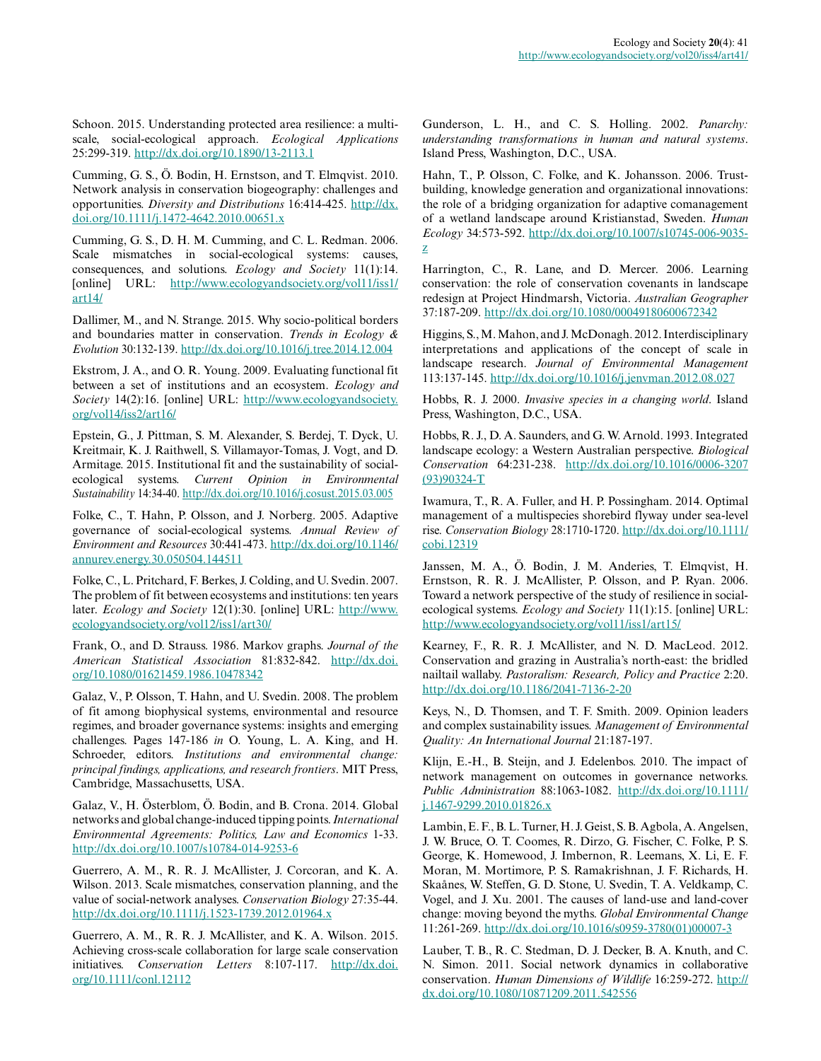Schoon. 2015. Understanding protected area resilience: a multiscale, social-ecological approach. *Ecological Applications* 25:299-319. [http://dx.doi.org/10.1890/13-2113.1](http://dx.doi.org/10.1890%2F13-2113.1)

Cumming, G. S., Ö. Bodin, H. Ernstson, and T. Elmqvist. 2010. Network analysis in conservation biogeography: challenges and opportunities. *Diversity and Distributions* 16:414-425. [http://dx.](http://dx.doi.org/10.1111%2Fj.1472-4642.2010.00651.x) [doi.org/10.1111/j.1472-4642.2010.00651.x](http://dx.doi.org/10.1111%2Fj.1472-4642.2010.00651.x)

Cumming, G. S., D. H. M. Cumming, and C. L. Redman. 2006. Scale mismatches in social-ecological systems: causes, consequences, and solutions. *Ecology and Society* 11(1):14. [online] URL: [http://www.ecologyandsociety.org/vol11/iss1/](http://www.ecologyandsociety.org/vol11/iss1/art14/) [art14/](http://www.ecologyandsociety.org/vol11/iss1/art14/)

Dallimer, M., and N. Strange. 2015. Why socio-political borders and boundaries matter in conservation. *Trends in Ecology & Evolution* 30:132-139. [http://dx.doi.org/10.1016/j.tree.2014.12.004](http://dx.doi.org/10.1016%2Fj.tree.2014.12.004) 

Ekstrom, J. A., and O. R. Young. 2009. Evaluating functional fit between a set of institutions and an ecosystem. *Ecology and Society* 14(2):16. [online] URL: [http://www.ecologyandsociety.](http://www.ecologyandsociety.org/vol14/iss2/art16/) [org/vol14/iss2/art16/](http://www.ecologyandsociety.org/vol14/iss2/art16/)

Epstein, G., J. Pittman, S. M. Alexander, S. Berdej, T. Dyck, U. Kreitmair, K. J. Raithwell, S. Villamayor-Tomas, J. Vogt, and D. Armitage. 2015. Institutional fit and the sustainability of socialecological systems. *Current Opinion in Environmental Sustainability* 14:34-40. [http://dx.doi.org/10.1016/j.cosust.2015.03.005](http://dx.doi.org/10.1016%2Fj.cosust.2015.03.005) 

Folke, C., T. Hahn, P. Olsson, and J. Norberg. 2005. Adaptive governance of social-ecological systems. *Annual Review of Environment and Resources* 30:441-473. [http://dx.doi.org/10.1146/](http://dx.doi.org/10.1146%2Fannurev.energy.30.050504.144511) [annurev.energy.30.050504.144511](http://dx.doi.org/10.1146%2Fannurev.energy.30.050504.144511) 

Folke, C., L. Pritchard, F. Berkes, J. Colding, and U. Svedin. 2007. The problem of fit between ecosystems and institutions: ten years later. *Ecology and Society* 12(1):30. [online] URL: [http://www.](http://www.ecologyandsociety.org/vol12/iss1/art30/) [ecologyandsociety.org/vol12/iss1/art30/](http://www.ecologyandsociety.org/vol12/iss1/art30/)

Frank, O., and D. Strauss. 1986. Markov graphs. *Journal of the American Statistical Association* 81:832-842. [http://dx.doi.](http://dx.doi.org/10.1080%2F01621459.1986.10478342) [org/10.1080/01621459.1986.10478342](http://dx.doi.org/10.1080%2F01621459.1986.10478342)

Galaz, V., P. Olsson, T. Hahn, and U. Svedin. 2008. The problem of fit among biophysical systems, environmental and resource regimes, and broader governance systems: insights and emerging challenges. Pages 147-186 *in* O. Young, L. A. King, and H. Schroeder, editors. *Institutions and environmental change: principal findings, applications, and research frontiers*. MIT Press, Cambridge, Massachusetts, USA.

Galaz, V., H. Österblom, Ö. Bodin, and B. Crona. 2014. Global networks and global change-induced tipping points. *International Environmental Agreements: Politics, Law and Economics* 1-33. [http://dx.doi.org/10.1007/s10784-014-9253-6](http://dx.doi.org/10.1007%2Fs10784-014-9253-6)

Guerrero, A. M., R. R. J. McAllister, J. Corcoran, and K. A. Wilson. 2013. Scale mismatches, conservation planning, and the value of social-network analyses. *Conservation Biology* 27:35-44. [http://dx.doi.org/10.1111/j.1523-1739.2012.01964.x](http://dx.doi.org/10.1111%2Fj.1523-1739.2012.01964.x) 

Guerrero, A. M., R. R. J. McAllister, and K. A. Wilson. 2015. Achieving cross-scale collaboration for large scale conservation initiatives. *Conservation Letters* 8:107-117. [http://dx.doi.](http://dx.doi.org/10.1111%2Fconl.12112) [org/10.1111/conl.12112](http://dx.doi.org/10.1111%2Fconl.12112)

Gunderson, L. H., and C. S. Holling. 2002. *Panarchy: understanding transformations in human and natural systems*. Island Press, Washington, D.C., USA.

Hahn, T., P. Olsson, C. Folke, and K. Johansson. 2006. Trustbuilding, knowledge generation and organizational innovations: the role of a bridging organization for adaptive comanagement of a wetland landscape around Kristianstad, Sweden. *Human Ecology* 34:573-592. [http://dx.doi.org/10.1007/s10745-006-9035](http://dx.doi.org/10.1007%2Fs10745-006-9035-z) [z](http://dx.doi.org/10.1007%2Fs10745-006-9035-z) 

Harrington, C., R. Lane, and D. Mercer. 2006. Learning conservation: the role of conservation covenants in landscape redesign at Project Hindmarsh, Victoria. *Australian Geographer* 37:187-209. [http://dx.doi.org/10.1080/00049180600672342](http://dx.doi.org/10.1080%2F00049180600672342) 

Higgins, S., M. Mahon, and J. McDonagh. 2012. Interdisciplinary interpretations and applications of the concept of scale in landscape research. *Journal of Environmental Management* 113:137-145. [http://dx.doi.org/10.1016/j.jenvman.2012.08.027](http://dx.doi.org/10.1016%2Fj.jenvman.2012.08.027)

Hobbs, R. J. 2000. *Invasive species in a changing world*. Island Press, Washington, D.C., USA.

Hobbs, R. J., D. A. Saunders, and G. W. Arnold. 1993. Integrated landscape ecology: a Western Australian perspective. *Biological Conservation* 64:231-238. [http://dx.doi.org/10.1016/0006-3207](http://dx.doi.org/10.1016%2F0006-3207%2893%2990324-T) [\(93\)90324-T](http://dx.doi.org/10.1016%2F0006-3207%2893%2990324-T)

Iwamura, T., R. A. Fuller, and H. P. Possingham. 2014. Optimal management of a multispecies shorebird flyway under sea-level rise. *Conservation Biology* 28:1710-1720. [http://dx.doi.org/10.1111/](http://dx.doi.org/10.1111%2Fcobi.12319) [cobi.12319](http://dx.doi.org/10.1111%2Fcobi.12319)

Janssen, M. A., Ö. Bodin, J. M. Anderies, T. Elmqvist, H. Ernstson, R. R. J. McAllister, P. Olsson, and P. Ryan. 2006. Toward a network perspective of the study of resilience in socialecological systems. *Ecology and Society* 11(1):15. [online] URL: <http://www.ecologyandsociety.org/vol11/iss1/art15/>

Kearney, F., R. R. J. McAllister, and N. D. MacLeod. 2012. Conservation and grazing in Australia's north-east: the bridled nailtail wallaby. *Pastoralism: Research, Policy and Practice* 2:20. [http://dx.doi.org/10.1186/2041-7136-2-20](http://dx.doi.org/10.1186%2F2041-7136-2-20) 

Keys, N., D. Thomsen, and T. F. Smith. 2009. Opinion leaders and complex sustainability issues. *Management of Environmental Quality: An International Journal* 21:187-197.

Klijn, E.-H., B. Steijn, and J. Edelenbos. 2010. The impact of network management on outcomes in governance networks. *Public Administration* 88:1063-1082. [http://dx.doi.org/10.1111/](http://dx.doi.org/10.1111%2Fj.1467-9299.2010.01826.x) [j.1467-9299.2010.01826.x](http://dx.doi.org/10.1111%2Fj.1467-9299.2010.01826.x)

Lambin, E. F., B. L. Turner, H. J. Geist, S. B. Agbola, A. Angelsen, J. W. Bruce, O. T. Coomes, R. Dirzo, G. Fischer, C. Folke, P. S. George, K. Homewood, J. Imbernon, R. Leemans, X. Li, E. F. Moran, M. Mortimore, P. S. Ramakrishnan, J. F. Richards, H. Skaånes, W. Steffen, G. D. Stone, U. Svedin, T. A. Veldkamp, C. Vogel, and J. Xu. 2001. The causes of land-use and land-cover change: moving beyond the myths. *Global Environmental Change* 11:261-269. [http://dx.doi.org/10.1016/s0959-3780\(01\)00007-3](http://dx.doi.org/10.1016%2Fs0959-3780%2801%2900007-3) 

Lauber, T. B., R. C. Stedman, D. J. Decker, B. A. Knuth, and C. N. Simon. 2011. Social network dynamics in collaborative conservation. *Human Dimensions of Wildlife* 16:259-272. [http://](http://dx.doi.org/10.1080%2F10871209.2011.542556) [dx.doi.org/10.1080/10871209.2011.542556](http://dx.doi.org/10.1080%2F10871209.2011.542556)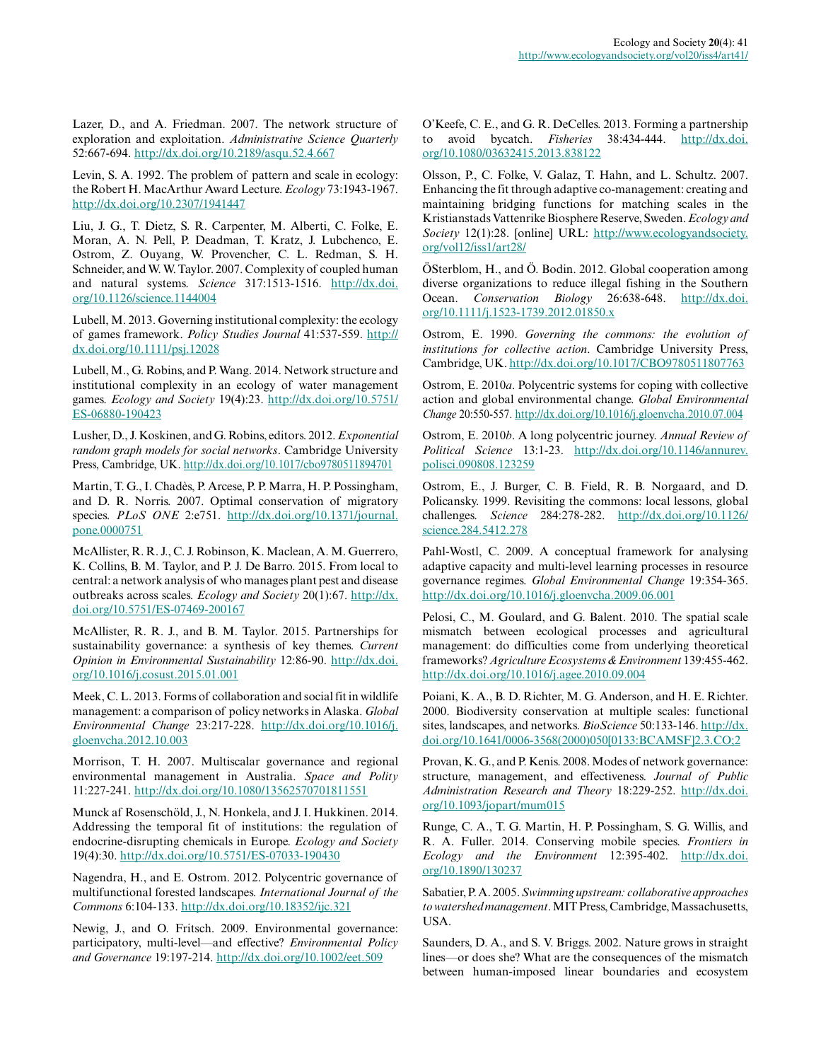Lazer, D., and A. Friedman. 2007. The network structure of exploration and exploitation. *Administrative Science Quarterly* 52:667-694. [http://dx.doi.org/10.2189/asqu.52.4.667](http://dx.doi.org/10.2189%2Fasqu.52.4.667) 

Levin, S. A. 1992. The problem of pattern and scale in ecology: the Robert H. MacArthur Award Lecture. *Ecology* 73:1943-1967. [http://dx.doi.org/10.2307/1941447](http://dx.doi.org/10.2307%2F1941447) 

Liu, J. G., T. Dietz, S. R. Carpenter, M. Alberti, C. Folke, E. Moran, A. N. Pell, P. Deadman, T. Kratz, J. Lubchenco, E. Ostrom, Z. Ouyang, W. Provencher, C. L. Redman, S. H. Schneider, and W. W. Taylor. 2007. Complexity of coupled human and natural systems. *Science* 317:1513-1516. [http://dx.doi.](http://dx.doi.org/10.1126%2Fscience.1144004) [org/10.1126/science.1144004](http://dx.doi.org/10.1126%2Fscience.1144004)

Lubell, M. 2013. Governing institutional complexity: the ecology of games framework. *Policy Studies Journal* 41:537-559. [http://](http://dx.doi.org/10.1111%2Fpsj.12028) [dx.doi.org/10.1111/psj.12028](http://dx.doi.org/10.1111%2Fpsj.12028) 

Lubell, M., G. Robins, and P. Wang. 2014. Network structure and institutional complexity in an ecology of water management games. *Ecology and Society* 19(4):23. [http://dx.doi.org/10.5751/](http://dx.doi.org/10.5751%2FES-06880-190423) [ES-06880-190423](http://dx.doi.org/10.5751%2FES-06880-190423)

Lusher, D., J. Koskinen, and G. Robins, editors. 2012. *Exponential random graph models for social networks*. Cambridge University Press, Cambridge, UK. [http://dx.doi.org/10.1017/cbo9780511894701](http://dx.doi.org/10.1017%2Fcbo9780511894701) 

Martin, T. G., I. Chadès, P. Arcese, P. P. Marra, H. P. Possingham, and D. R. Norris. 2007. Optimal conservation of migratory species. *PLoS ONE* 2:e751. [http://dx.doi.org/10.1371/journal.](http://dx.doi.org/10.1371%2Fjournal.pone.0000751) [pone.0000751](http://dx.doi.org/10.1371%2Fjournal.pone.0000751)

McAllister, R. R. J., C. J. Robinson, K. Maclean, A. M. Guerrero, K. Collins, B. M. Taylor, and P. J. De Barro. 2015. From local to central: a network analysis of who manages plant pest and disease outbreaks across scales. *Ecology and Society* 20(1):67. [http://dx.](http://dx.doi.org/10.5751%2FES-07469-200167) [doi.org/10.5751/ES-07469-200167](http://dx.doi.org/10.5751%2FES-07469-200167)

McAllister, R. R. J., and B. M. Taylor. 2015. Partnerships for sustainability governance: a synthesis of key themes. *Current Opinion in Environmental Sustainability* 12:86-90. [http://dx.doi.](http://dx.doi.org/10.1016%2Fj.cosust.2015.01.001) [org/10.1016/j.cosust.2015.01.001](http://dx.doi.org/10.1016%2Fj.cosust.2015.01.001) 

Meek, C. L. 2013. Forms of collaboration and social fit in wildlife management: a comparison of policy networks in Alaska. *Global Environmental Change* 23:217-228. [http://dx.doi.org/10.1016/j.](http://dx.doi.org/10.1016%2Fj.gloenvcha.2012.10.003) [gloenvcha.2012.10.003](http://dx.doi.org/10.1016%2Fj.gloenvcha.2012.10.003)

Morrison, T. H. 2007. Multiscalar governance and regional environmental management in Australia. *Space and Polity* 11:227-241. [http://dx.doi.org/10.1080/13562570701811551](http://dx.doi.org/10.1080%2F13562570701811551) 

Munck af Rosenschöld, J., N. Honkela, and J. I. Hukkinen. 2014. Addressing the temporal fit of institutions: the regulation of endocrine-disrupting chemicals in Europe. *Ecology and Society* 19(4):30. [http://dx.doi.org/10.5751/ES-07033-190430](http://dx.doi.org/10.5751%2FES-07033-190430)

Nagendra, H., and E. Ostrom. 2012. Polycentric governance of multifunctional forested landscapes. *International Journal of the Commons* 6:104-133. [http://dx.doi.org/10.18352/ijc.321](http://dx.doi.org/10.18352%2Fijc.321) 

Newig, J., and O. Fritsch. 2009. Environmental governance: participatory, multi-level—and effective? *Environmental Policy and Governance* 19:197-214. [http://dx.doi.org/10.1002/eet.509](http://dx.doi.org/10.1002%2Feet.509) 

O'Keefe, C. E., and G. R. DeCelles. 2013. Forming a partnership to avoid bycatch. *Fisheries* 38:434-444. [http://dx.doi.](http://dx.doi.org/10.1080%2F03632415.2013.838122) [org/10.1080/03632415.2013.838122](http://dx.doi.org/10.1080%2F03632415.2013.838122)

Olsson, P., C. Folke, V. Galaz, T. Hahn, and L. Schultz. 2007. Enhancing the fit through adaptive co-management: creating and maintaining bridging functions for matching scales in the Kristianstads Vattenrike Biosphere Reserve, Sweden. *Ecology and Society* 12(1):28. [online] URL: [http://www.ecologyandsociety.](http://www.ecologyandsociety.org/vol12/iss1/art28/) [org/vol12/iss1/art28/](http://www.ecologyandsociety.org/vol12/iss1/art28/)

ÖSterblom, H., and Ö. Bodin. 2012. Global cooperation among diverse organizations to reduce illegal fishing in the Southern Ocean. *Conservation Biology* 26:638-648. [http://dx.doi.](http://dx.doi.org/10.1111%2Fj.1523-1739.2012.01850.x) [org/10.1111/j.1523-1739.2012.01850.x](http://dx.doi.org/10.1111%2Fj.1523-1739.2012.01850.x)

Ostrom, E. 1990. *Governing the commons: the evolution of institutions for collective action*. Cambridge University Press, Cambridge, UK. [http://dx.doi.org/10.1017/CBO9780511807763](http://dx.doi.org/10.1017%2FCBO9780511807763)

Ostrom, E. 2010*a*. Polycentric systems for coping with collective action and global environmental change. *Global Environmental Change* 20:550-557. [http://dx.doi.org/10.1016/j.gloenvcha.2010.07.004](http://dx.doi.org/10.1016%2Fj.gloenvcha.2010.07.004) 

Ostrom, E. 2010*b*. A long polycentric journey. *Annual Review of Political Science* 13:1-23. [http://dx.doi.org/10.1146/annurev.](http://dx.doi.org/10.1146%2Fannurev.polisci.090808.123259) [polisci.090808.123259](http://dx.doi.org/10.1146%2Fannurev.polisci.090808.123259) 

Ostrom, E., J. Burger, C. B. Field, R. B. Norgaard, and D. Policansky. 1999. Revisiting the commons: local lessons, global challenges. *Science* 284:278-282. [http://dx.doi.org/10.1126/](http://dx.doi.org/10.1126%2Fscience.284.5412.278) [science.284.5412.278](http://dx.doi.org/10.1126%2Fscience.284.5412.278)

Pahl-Wostl, C. 2009. A conceptual framework for analysing adaptive capacity and multi-level learning processes in resource governance regimes. *Global Environmental Change* 19:354-365. [http://dx.doi.org/10.1016/j.gloenvcha.2009.06.001](http://dx.doi.org/10.1016%2Fj.gloenvcha.2009.06.001)

Pelosi, C., M. Goulard, and G. Balent. 2010. The spatial scale mismatch between ecological processes and agricultural management: do difficulties come from underlying theoretical frameworks? *Agriculture Ecosystems & Environment* 139:455-462. [http://dx.doi.org/10.1016/j.agee.2010.09.004](http://dx.doi.org/10.1016%2Fj.agee.2010.09.004)

Poiani, K. A., B. D. Richter, M. G. Anderson, and H. E. Richter. 2000. Biodiversity conservation at multiple scales: functional sites, landscapes, and networks. *BioScience* 50:133-146. [http://dx.](http://dx.doi.org/10.1641%2F0006-3568%282000%29050%5B0133%3ABCAMSF%5D2.3.CO%3B2) [doi.org/10.1641/0006-3568\(2000\)050\[0133:BCAMSF\]2.3.CO;2](http://dx.doi.org/10.1641%2F0006-3568%282000%29050%5B0133%3ABCAMSF%5D2.3.CO%3B2)

Provan, K. G., and P. Kenis. 2008. Modes of network governance: structure, management, and effectiveness. *Journal of Public Administration Research and Theory* 18:229-252. [http://dx.doi.](http://dx.doi.org/10.1093%2Fjopart%2Fmum015) [org/10.1093/jopart/mum015](http://dx.doi.org/10.1093%2Fjopart%2Fmum015)

Runge, C. A., T. G. Martin, H. P. Possingham, S. G. Willis, and R. A. Fuller. 2014. Conserving mobile species. *Frontiers in Ecology and the Environment* 12:395-402. [http://dx.doi.](http://dx.doi.org/10.1890%2F130237) [org/10.1890/130237](http://dx.doi.org/10.1890%2F130237)

Sabatier, P. A. 2005. *Swimming upstream: collaborative approaches to watershed management*. MIT Press, Cambridge, Massachusetts, USA.

Saunders, D. A., and S. V. Briggs. 2002. Nature grows in straight lines—or does she? What are the consequences of the mismatch between human-imposed linear boundaries and ecosystem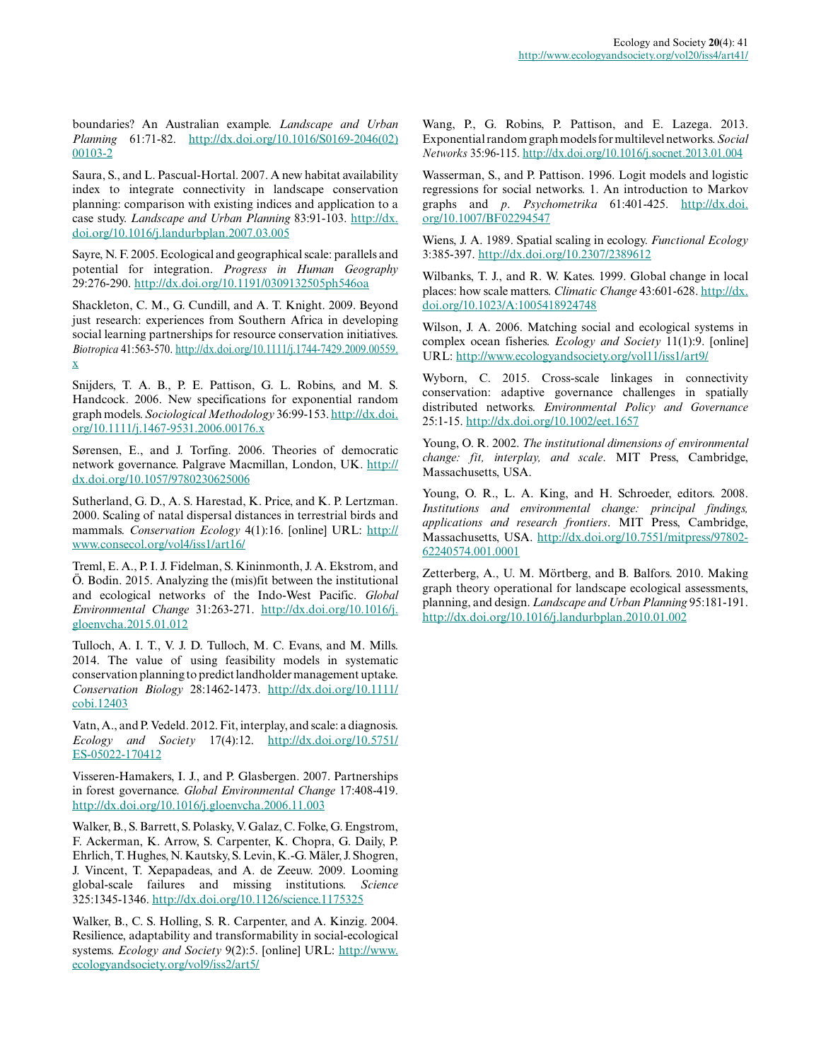boundaries? An Australian example. *Landscape and Urban Planning* 61:71-82. [http://dx.doi.org/10.1016/S0169-2046\(02\)](http://dx.doi.org/10.1016%2FS0169-2046%2802%2900103-2) [00103-2](http://dx.doi.org/10.1016%2FS0169-2046%2802%2900103-2) 

Saura, S., and L. Pascual-Hortal. 2007. A new habitat availability index to integrate connectivity in landscape conservation planning: comparison with existing indices and application to a case study. *Landscape and Urban Planning* 83:91-103. [http://dx.](http://dx.doi.org/10.1016%2Fj.landurbplan.2007.03.005) [doi.org/10.1016/j.landurbplan.2007.03.005](http://dx.doi.org/10.1016%2Fj.landurbplan.2007.03.005) 

Sayre, N. F. 2005. Ecological and geographical scale: parallels and potential for integration. *Progress in Human Geography* 29:276-290. [http://dx.doi.org/10.1191/0309132505ph546oa](http://dx.doi.org/10.1191%2F0309132505ph546oa)

Shackleton, C. M., G. Cundill, and A. T. Knight. 2009. Beyond just research: experiences from Southern Africa in developing social learning partnerships for resource conservation initiatives. *Biotropica* 41:563-570. [http://dx.doi.org/10.1111/j.1744-7429.2009.00559.](http://dx.doi.org/10.1111%2Fj.1744-7429.2009.00559.x) [x](http://dx.doi.org/10.1111%2Fj.1744-7429.2009.00559.x)

Snijders, T. A. B., P. E. Pattison, G. L. Robins, and M. S. Handcock. 2006. New specifications for exponential random graph models. *Sociological Methodology* 36:99-153. [http://dx.doi.](http://dx.doi.org/10.1111%2Fj.1467-9531.2006.00176.x) [org/10.1111/j.1467-9531.2006.00176.x](http://dx.doi.org/10.1111%2Fj.1467-9531.2006.00176.x)

Sørensen, E., and J. Torfing. 2006. Theories of democratic network governance. Palgrave Macmillan, London, UK. [http://](http://dx.doi.org/10.1057%2F9780230625006) [dx.doi.org/10.1057/9780230625006](http://dx.doi.org/10.1057%2F9780230625006)

Sutherland, G. D., A. S. Harestad, K. Price, and K. P. Lertzman. 2000. Scaling of natal dispersal distances in terrestrial birds and mammals. *Conservation Ecology* 4(1):16. [online] URL: [http://](http://www.consecol.org/vol4/iss1/art16/) [www.consecol.org/vol4/iss1/art16/](http://www.consecol.org/vol4/iss1/art16/) 

Treml, E. A., P. I. J. Fidelman, S. Kininmonth, J. A. Ekstrom, and Ö. Bodin. 2015. Analyzing the (mis)fit between the institutional and ecological networks of the Indo-West Pacific. *Global Environmental Change* 31:263-271. [http://dx.doi.org/10.1016/j.](http://dx.doi.org/10.1016%2Fj.gloenvcha.2015.01.012) [gloenvcha.2015.01.012](http://dx.doi.org/10.1016%2Fj.gloenvcha.2015.01.012)

Tulloch, A. I. T., V. J. D. Tulloch, M. C. Evans, and M. Mills. 2014. The value of using feasibility models in systematic conservation planning to predict landholder management uptake. *Conservation Biology* 28:1462-1473. [http://dx.doi.org/10.1111/](http://dx.doi.org/10.1111/cobi.12403) [cobi.12403](http://dx.doi.org/10.1111/cobi.12403)

Vatn, A., and P. Vedeld. 2012. Fit, interplay, and scale: a diagnosis. *Ecology and Society* 17(4):12. [http://dx.doi.org/10.5751/](http://dx.doi.org/10.5751%2FES-05022-170412) [ES-05022-170412](http://dx.doi.org/10.5751%2FES-05022-170412)

Visseren-Hamakers, I. J., and P. Glasbergen. 2007. Partnerships in forest governance. *Global Environmental Change* 17:408-419. [http://dx.doi.org/10.1016/j.gloenvcha.2006.11.003](http://dx.doi.org/10.1016%2Fj.gloenvcha.2006.11.003)

Walker, B., S. Barrett, S. Polasky, V. Galaz, C. Folke, G. Engstrom, F. Ackerman, K. Arrow, S. Carpenter, K. Chopra, G. Daily, P. Ehrlich, T. Hughes, N. Kautsky, S. Levin, K.-G. Mäler, J. Shogren, J. Vincent, T. Xepapadeas, and A. de Zeeuw. 2009. Looming global-scale failures and missing institutions. *Science* 325:1345-1346. [http://dx.doi.org/10.1126/science.1175325](http://dx.doi.org/10.1126%2Fscience.1175325)

Walker, B., C. S. Holling, S. R. Carpenter, and A. Kinzig. 2004. Resilience, adaptability and transformability in social-ecological systems. *Ecology and Society* 9(2):5. [online] URL: [http://www.](http://www.ecologyandsociety.org/vol9/iss2/art5/) [ecologyandsociety.org/vol9/iss2/art5/](http://www.ecologyandsociety.org/vol9/iss2/art5/)

Wang, P., G. Robins, P. Pattison, and E. Lazega. 2013. Exponential random graph models for multilevel networks. *Social Networks* 35:96-115. [http://dx.doi.org/10.1016/j.socnet.2013.01.004](http://dx.doi.org/10.1016%2Fj.socnet.2013.01.004) 

Wasserman, S., and P. Pattison. 1996. Logit models and logistic regressions for social networks. 1. An introduction to Markov graphs and *p*. *Psychometrika* 61:401-425. [http://dx.doi.](http://dx.doi.org/10.1007%2FBF02294547) [org/10.1007/BF02294547](http://dx.doi.org/10.1007%2FBF02294547)

Wiens, J. A. 1989. Spatial scaling in ecology. *Functional Ecology* 3:385-397. [http://dx.doi.org/10.2307/2389612](http://dx.doi.org/10.2307%2F2389612)

Wilbanks, T. J., and R. W. Kates. 1999. Global change in local places: how scale matters. *Climatic Change* 43:601-628. [http://dx.](http://dx.doi.org/10.1023%2FA%3A1005418924748) [doi.org/10.1023/A:1005418924748](http://dx.doi.org/10.1023%2FA%3A1005418924748) 

Wilson, J. A. 2006. Matching social and ecological systems in complex ocean fisheries. *Ecology and Society* 11(1):9. [online] URL:<http://www.ecologyandsociety.org/vol11/iss1/art9/>

Wyborn, C. 2015. Cross-scale linkages in connectivity conservation: adaptive governance challenges in spatially distributed networks. *Environmental Policy and Governance* 25:1-15. [http://dx.doi.org/10.1002/eet.1657](http://dx.doi.org/10.1002%2Feet.1657)

Young, O. R. 2002. *The institutional dimensions of environmental change: fit, interplay, and scale*. MIT Press, Cambridge, Massachusetts, USA.

Young, O. R., L. A. King, and H. Schroeder, editors. 2008. *Institutions and environmental change: principal findings, applications and research frontiers*. MIT Press, Cambridge, Massachusetts, USA. [http://dx.doi.org/10.7551/mitpress/97802](http://dx.doi.org/10.7551%2Fmitpress%2F9780262240574.001.0001) [62240574.001.0001](http://dx.doi.org/10.7551%2Fmitpress%2F9780262240574.001.0001)

Zetterberg, A., U. M. Mörtberg, and B. Balfors. 2010. Making graph theory operational for landscape ecological assessments, planning, and design. *Landscape and Urban Planning* 95:181-191. [http://dx.doi.org/10.1016/j.landurbplan.2010.01.002](http://dx.doi.org/10.1016%2Fj.landurbplan.2010.01.002)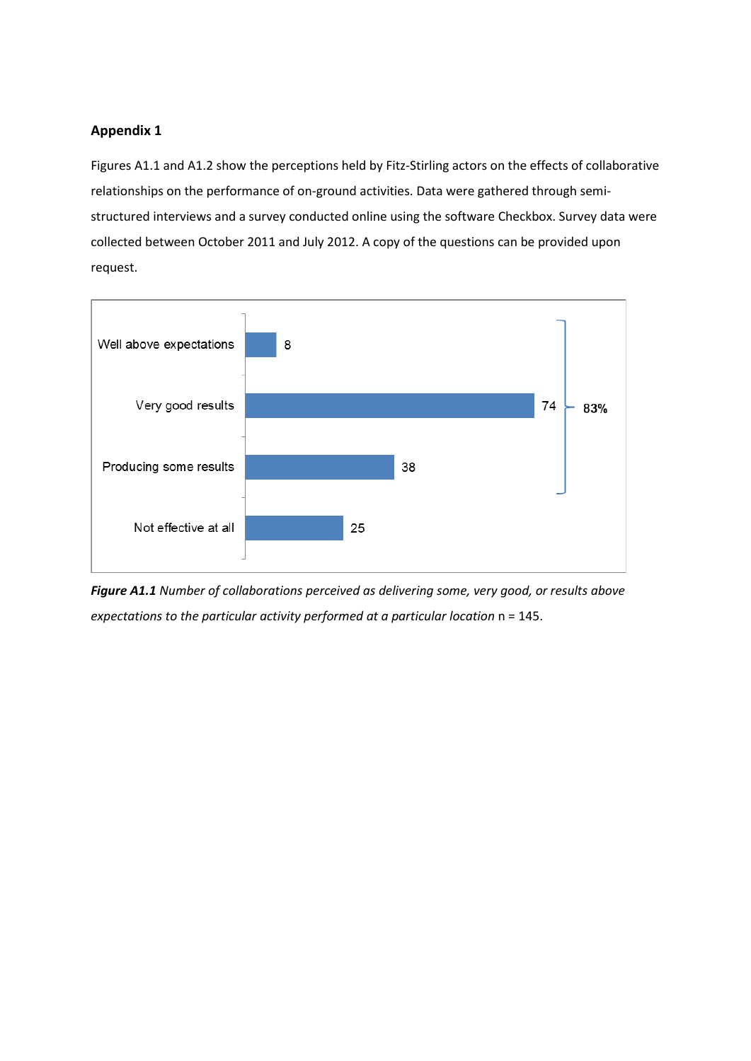# **Appendix 1**

Figures A1.1 and A1.2 show the perceptions held by Fitz-Stirling actors on the effects of collaborative relationships on the performance of on-ground activities. Data were gathered through semistructured interviews and a survey conducted online using the software Checkbox. Survey data were collected between October 2011 and July 2012. A copy of the questions can be provided upon request.